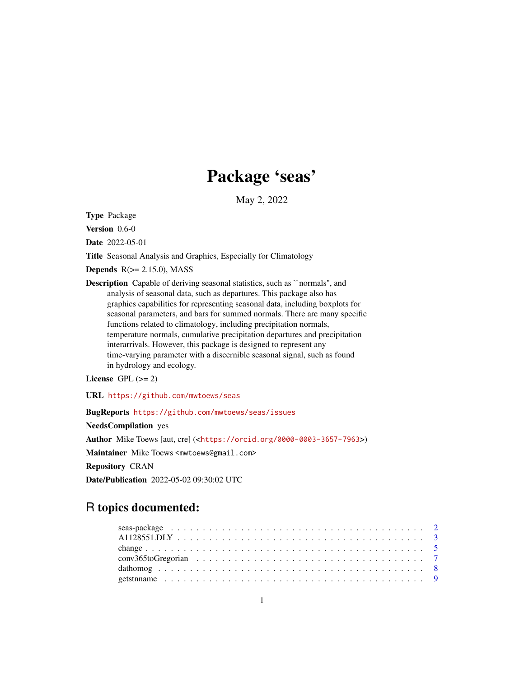# Package 'seas'

May 2, 2022

<span id="page-0-0"></span>Type Package

Version 0.6-0

Date 2022-05-01

Title Seasonal Analysis and Graphics, Especially for Climatology

Depends  $R(>= 2.15.0)$ , MASS

Description Capable of deriving seasonal statistics, such as ``normals'', and analysis of seasonal data, such as departures. This package also has graphics capabilities for representing seasonal data, including boxplots for seasonal parameters, and bars for summed normals. There are many specific functions related to climatology, including precipitation normals, temperature normals, cumulative precipitation departures and precipitation interarrivals. However, this package is designed to represent any time-varying parameter with a discernible seasonal signal, such as found in hydrology and ecology.

License GPL  $(>= 2)$ 

URL <https://github.com/mwtoews/seas>

BugReports <https://github.com/mwtoews/seas/issues>

NeedsCompilation yes

Author Mike Toews [aut, cre] (<<https://orcid.org/0000-0003-3657-7963>>)

Maintainer Mike Toews <mwtoews@gmail.com>

Repository CRAN

Date/Publication 2022-05-02 09:30:02 UTC

# R topics documented: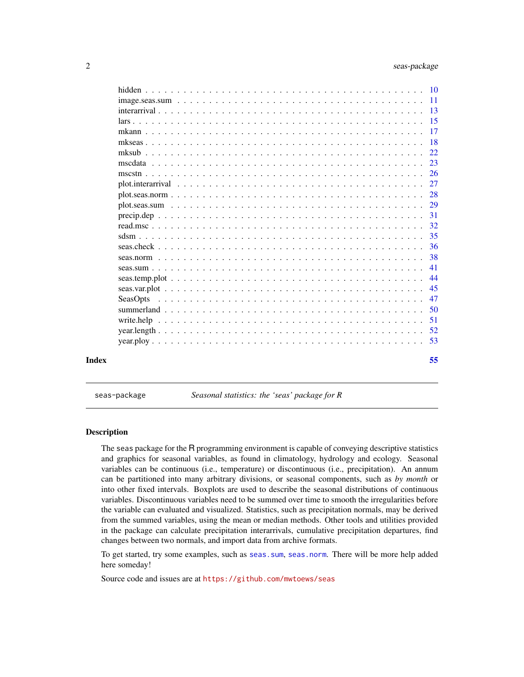<span id="page-1-0"></span>

|       |          | -38 |
|-------|----------|-----|
|       |          | 41  |
|       |          | 44  |
|       |          |     |
|       | SeasOpts |     |
|       |          |     |
|       |          |     |
|       |          |     |
|       |          |     |
| Index |          | 55  |

seas-package *Seasonal statistics: the 'seas' package for R*

# Description

The seas package for the R programming environment is capable of conveying descriptive statistics and graphics for seasonal variables, as found in climatology, hydrology and ecology. Seasonal variables can be continuous (i.e., temperature) or discontinuous (i.e., precipitation). An annum can be partitioned into many arbitrary divisions, or seasonal components, such as *by month* or into other fixed intervals. Boxplots are used to describe the seasonal distributions of continuous variables. Discontinuous variables need to be summed over time to smooth the irregularities before the variable can evaluated and visualized. Statistics, such as precipitation normals, may be derived from the summed variables, using the mean or median methods. Other tools and utilities provided in the package can calculate precipitation interarrivals, cumulative precipitation departures, find changes between two normals, and import data from archive formats.

To get started, try some examples, such as [seas.sum](#page-40-1), [seas.norm](#page-37-1). There will be more help added here someday!

Source code and issues are at <https://github.com/mwtoews/seas>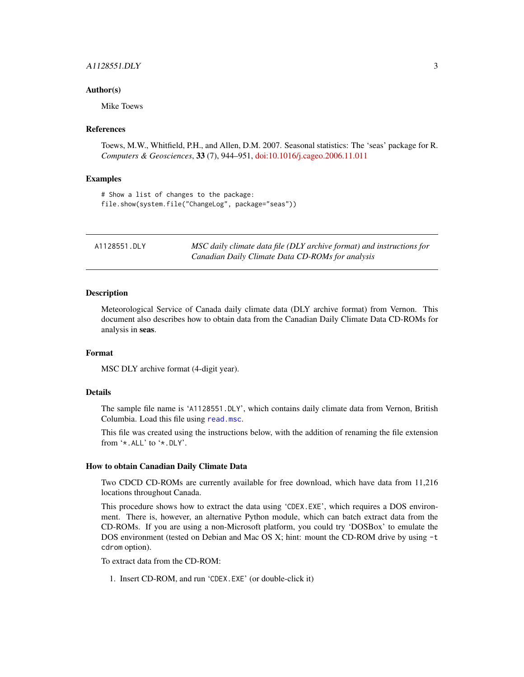# <span id="page-2-0"></span> $A1128551.DLY$  3

#### Author(s)

Mike Toews

#### References

Toews, M.W., Whitfield, P.H., and Allen, D.M. 2007. Seasonal statistics: The 'seas' package for R. *Computers & Geosciences*, 33 (7), 944–951, [doi:10.1016/j.cageo.2006.11.011](https://doi.org/10.1016/j.cageo.2006.11.011)

# Examples

# Show a list of changes to the package: file.show(system.file("ChangeLog", package="seas"))

<span id="page-2-1"></span>

| A1128551.DLY | MSC daily climate data file (DLY archive format) and instructions for |
|--------------|-----------------------------------------------------------------------|
|              | Canadian Daily Climate Data CD-ROMs for analysis                      |

#### Description

Meteorological Service of Canada daily climate data (DLY archive format) from Vernon. This document also describes how to obtain data from the Canadian Daily Climate Data CD-ROMs for analysis in seas.

#### Format

MSC DLY archive format (4-digit year).

#### Details

The sample file name is 'A1128551.DLY', which contains daily climate data from Vernon, British Columbia. Load this file using [read.msc](#page-31-1).

This file was created using the instructions below, with the addition of renaming the file extension from '\*.ALL' to '\*.DLY'.

#### How to obtain Canadian Daily Climate Data

Two CDCD CD-ROMs are currently available for free download, which have data from 11,216 locations throughout Canada.

This procedure shows how to extract the data using 'CDEX.EXE', which requires a DOS environment. There is, however, an alternative Python module, which can batch extract data from the CD-ROMs. If you are using a non-Microsoft platform, you could try 'DOSBox' to emulate the DOS environment (tested on Debian and Mac OS X; hint: mount the CD-ROM drive by using -t cdrom option).

To extract data from the CD-ROM:

1. Insert CD-ROM, and run 'CDEX.EXE' (or double-click it)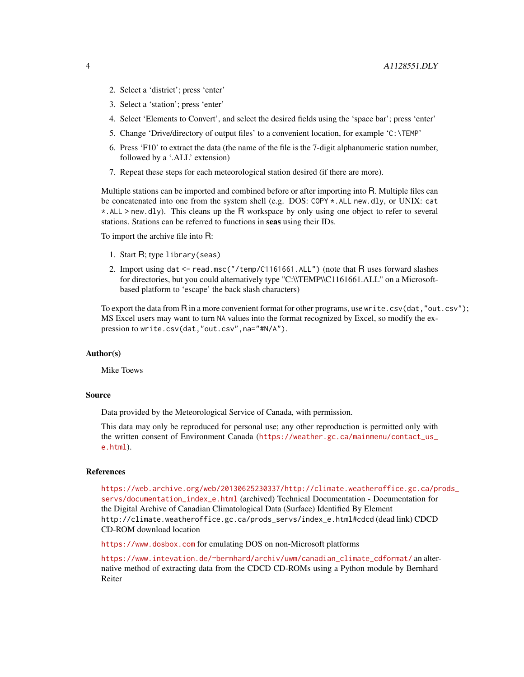- 2. Select a 'district'; press 'enter'
- 3. Select a 'station'; press 'enter'
- 4. Select 'Elements to Convert', and select the desired fields using the 'space bar'; press 'enter'
- 5. Change 'Drive/directory of output files' to a convenient location, for example 'C:\TEMP'
- 6. Press 'F10' to extract the data (the name of the file is the 7-digit alphanumeric station number, followed by a '.ALL' extension)
- 7. Repeat these steps for each meteorological station desired (if there are more).

Multiple stations can be imported and combined before or after importing into R. Multiple files can be concatenated into one from the system shell (e.g. DOS: COPY \*.ALL new.dly, or UNIX: cat \*.ALL > new.dly). This cleans up the R workspace by only using one object to refer to several stations. Stations can be referred to functions in seas using their IDs.

To import the archive file into R:

- 1. Start R; type library(seas)
- 2. Import using dat <- read.msc("/temp/C1161661.ALL") (note that R uses forward slashes for directories, but you could alternatively type "C:\\TEMP\\C1161661.ALL" on a Microsoftbased platform to 'escape' the back slash characters)

To export the data from  $\overline{R}$  in a more convenient format for other programs, use write.csv(dat,"out.csv"); MS Excel users may want to turn NA values into the format recognized by Excel, so modify the expression to write.csv(dat,"out.csv",na="#N/A").

#### Author(s)

Mike Toews

#### Source

Data provided by the Meteorological Service of Canada, with permission.

This data may only be reproduced for personal use; any other reproduction is permitted only with the written consent of Environment Canada ([https://weather.gc.ca/mainmenu/contact\\_us\\_](https://weather.gc.ca/mainmenu/contact_us_e.html) [e.html](https://weather.gc.ca/mainmenu/contact_us_e.html)).

#### References

[https://web.archive.org/web/20130625230337/http://climate.weatheroffice.gc.ca/pr](https://web.archive.org/web/20130625230337/http://climate.weatheroffice.gc.ca/prods_servs/documentation_index_e.html)ods\_ [servs/documentation\\_index\\_e.html](https://web.archive.org/web/20130625230337/http://climate.weatheroffice.gc.ca/prods_servs/documentation_index_e.html) (archived) Technical Documentation - Documentation for the Digital Archive of Canadian Climatological Data (Surface) Identified By Element http://climate.weatheroffice.gc.ca/prods\_servs/index\_e.html#cdcd (dead link) CDCD CD-ROM download location

<https://www.dosbox.com> for emulating DOS on non-Microsoft platforms

[https://www.intevation.de/~bernhard/archiv/uwm/canadian\\_climate\\_cdformat/](https://www.intevation.de/~bernhard/archiv/uwm/canadian_climate_cdformat/) an alternative method of extracting data from the CDCD CD-ROMs using a Python module by Bernhard Reiter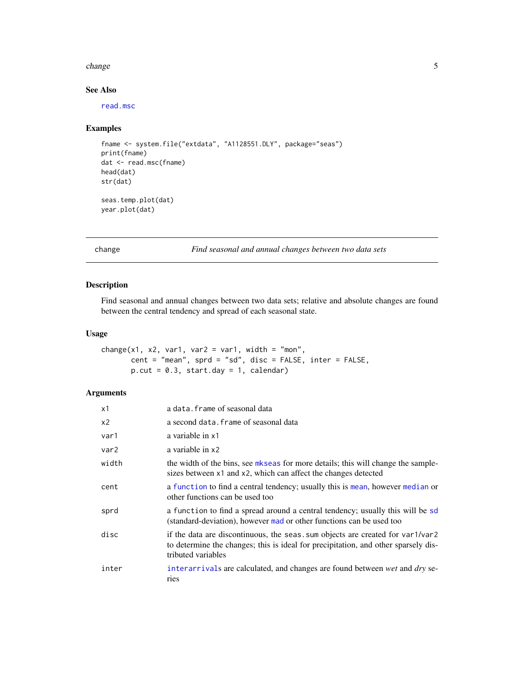#### <span id="page-4-0"></span>change 5 and 5 and 5 and 5 and 5 and 5 and 5 and 5 and 5 and 5 and 5 and 5 and 5 and 5 and 5 and 5 and 5 and 5 and 5 and 5 and 5 and 5 and 5 and 5 and 5 and 5 and 5 and 5 and 5 and 5 and 5 and 5 and 5 and 5 and 5 and 5 and

# See Also

[read.msc](#page-31-1)

# Examples

```
fname <- system.file("extdata", "A1128551.DLY", package="seas")
print(fname)
dat <- read.msc(fname)
head(dat)
str(dat)
seas.temp.plot(dat)
year.plot(dat)
```
<span id="page-4-1"></span>change *Find seasonal and annual changes between two data sets*

# Description

Find seasonal and annual changes between two data sets; relative and absolute changes are found between the central tendency and spread of each seasonal state.

# Usage

change(x1, x2, var1, var2 = var1, width = "mon", cent = "mean", sprd = "sd", disc = FALSE, inter = FALSE,  $p.cut = 0.3$ , start.day = 1, calendar)

# Arguments

| x1             | a data. frame of seasonal data                                                                                                                                                             |
|----------------|--------------------------------------------------------------------------------------------------------------------------------------------------------------------------------------------|
| x <sub>2</sub> | a second data. frame of seasonal data                                                                                                                                                      |
| var1           | a variable in x1                                                                                                                                                                           |
| var2           | a variable in x2                                                                                                                                                                           |
| width          | the width of the bins, see mkseas for more details; this will change the sample-<br>sizes between x1 and x2, which can affect the changes detected                                         |
| cent           | a function to find a central tendency; usually this is mean, however median or<br>other functions can be used too                                                                          |
| sprd           | a function to find a spread around a central tendency; usually this will be sd<br>(standard-deviation), however mad or other functions can be used too                                     |
| disc           | if the data are discontinuous, the seas. sum objects are created for var1/var2<br>to determine the changes; this is ideal for precipitation, and other sparsely dis-<br>tributed variables |
| inter          | interarrivals are calculated, and changes are found between wet and dry se-<br>ries                                                                                                        |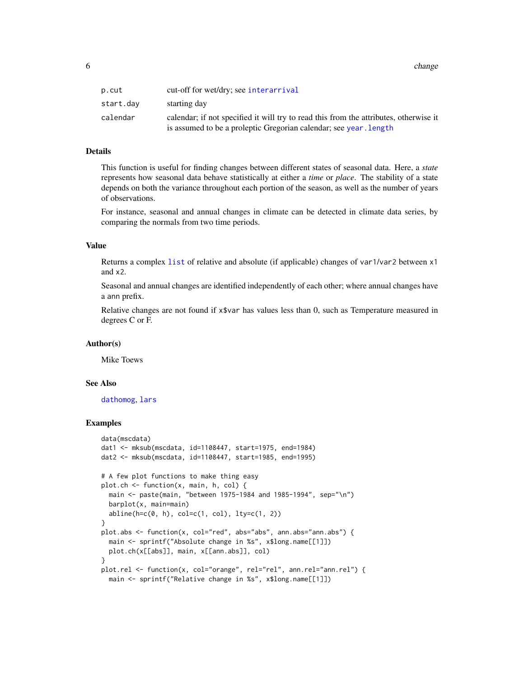<span id="page-5-0"></span>6 change of the change of the change of the change of the change of the change of the change of the change of the change of the change of the change of the change of the change of the change of the change of the change of

| p.cut     | cut-off for wet/dry; see interarrival                                                 |
|-----------|---------------------------------------------------------------------------------------|
| start.dav | starting day                                                                          |
| calendar  | calendar; if not specified it will try to read this from the attributes, otherwise it |
|           | is assumed to be a proleptic Gregorian calendar; see year. length                     |

# Details

This function is useful for finding changes between different states of seasonal data. Here, a *state* represents how seasonal data behave statistically at either a *time* or *place*. The stability of a state depends on both the variance throughout each portion of the season, as well as the number of years of observations.

For instance, seasonal and annual changes in climate can be detected in climate data series, by comparing the normals from two time periods.

#### Value

Returns a complex [list](#page-0-0) of relative and absolute (if applicable) changes of var1/var2 between x1 and x2.

Seasonal and annual changes are identified independently of each other; where annual changes have a ann prefix.

Relative changes are not found if x\$var has values less than 0, such as Temperature measured in degrees C or F.

#### Author(s)

Mike Toews

#### See Also

[dathomog](#page-7-1), [lars](#page-14-1)

# Examples

```
data(mscdata)
dat1 <- mksub(mscdata, id=1108447, start=1975, end=1984)
dat2 <- mksub(mscdata, id=1108447, start=1985, end=1995)
# A few plot functions to make thing easy
plot.ch <- function(x, main, h, col) {
 main <- paste(main, "between 1975-1984 and 1985-1994", sep="\n")
 barplot(x, main=main)
 abline(h=c(0, h), col=c(1, col), lty=c(1, 2))}
plot.abs <- function(x, col="red", abs="abs", ann.abs="ann.abs") {
 main <- sprintf("Absolute change in %s", x$long.name[[1]])
 plot.ch(x[[abs]], main, x[[ann.abs]], col)
}
plot.rel <- function(x, col="orange", rel="rel", ann.rel="ann.rel") {
 main <- sprintf("Relative change in %s", x$long.name[[1]])
```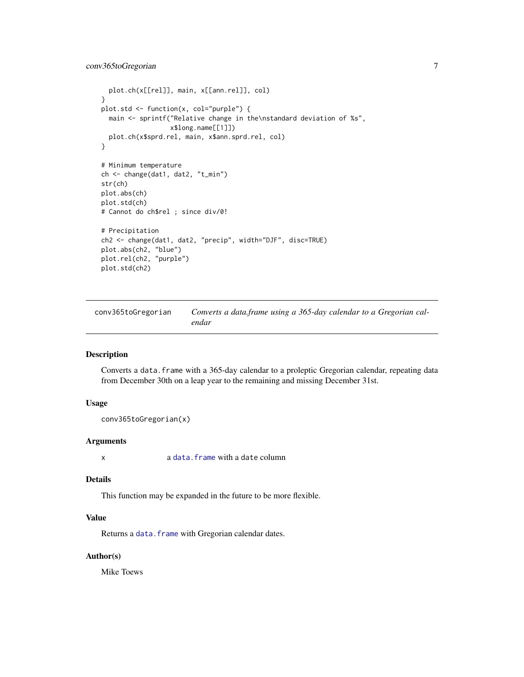```
plot.ch(x[[rel]], main, x[[ann.rel]], col)
}
plot.std <- function(x, col="purple") {
 main <- sprintf("Relative change in the\nstandard deviation of %s",
                  x$long.name[[1]])
  plot.ch(x$sprd.rel, main, x$ann.sprd.rel, col)
}
# Minimum temperature
ch <- change(dat1, dat2, "t_min")
str(ch)
plot.abs(ch)
plot.std(ch)
# Cannot do ch$rel ; since div/0!
# Precipitation
ch2 <- change(dat1, dat2, "precip", width="DJF", disc=TRUE)
plot.abs(ch2, "blue")
plot.rel(ch2, "purple")
plot.std(ch2)
```
<span id="page-6-1"></span>conv365toGregorian *Converts a data.frame using a 365-day calendar to a Gregorian calendar*

#### Description

Converts a data.frame with a 365-day calendar to a proleptic Gregorian calendar, repeating data from December 30th on a leap year to the remaining and missing December 31st.

# Usage

```
conv365toGregorian(x)
```
# Arguments

x a [data.frame](#page-0-0) with a date column

# Details

This function may be expanded in the future to be more flexible.

# Value

Returns a data. frame with Gregorian calendar dates.

#### Author(s)

Mike Toews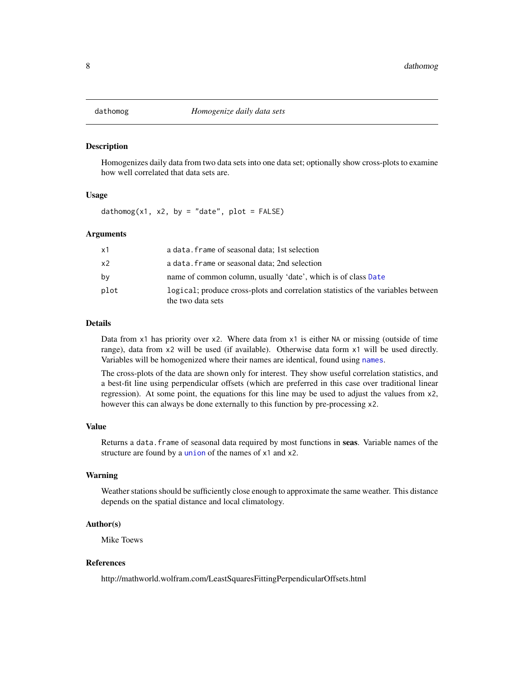<span id="page-7-1"></span><span id="page-7-0"></span>

#### **Description**

Homogenizes daily data from two data sets into one data set; optionally show cross-plots to examine how well correlated that data sets are.

#### Usage

 $d$ athomog(x1, x2, by = "date", plot = FALSE)

### Arguments

| x1   | a data. frame of seasonal data: 1st selection                                                         |
|------|-------------------------------------------------------------------------------------------------------|
| x2   | a data. frame or seasonal data; 2nd selection                                                         |
| by   | name of common column, usually 'date', which is of class Date                                         |
| plot | logical; produce cross-plots and correlation statistics of the variables between<br>the two data sets |

# Details

Data from x1 has priority over x2. Where data from x1 is either NA or missing (outside of time range), data from x2 will be used (if available). Otherwise data form x1 will be used directly. Variables will be homogenized where their names are identical, found using [names](#page-0-0).

The cross-plots of the data are shown only for interest. They show useful correlation statistics, and a best-fit line using perpendicular offsets (which are preferred in this case over traditional linear regression). At some point, the equations for this line may be used to adjust the values from x2, however this can always be done externally to this function by pre-processing x2.

#### Value

Returns a data. frame of seasonal data required by most functions in seas. Variable names of the structure are found by a [union](#page-0-0) of the names of x1 and x2.

# Warning

Weather stations should be sufficiently close enough to approximate the same weather. This distance depends on the spatial distance and local climatology.

#### Author(s)

Mike Toews

#### References

http://mathworld.wolfram.com/LeastSquaresFittingPerpendicularOffsets.html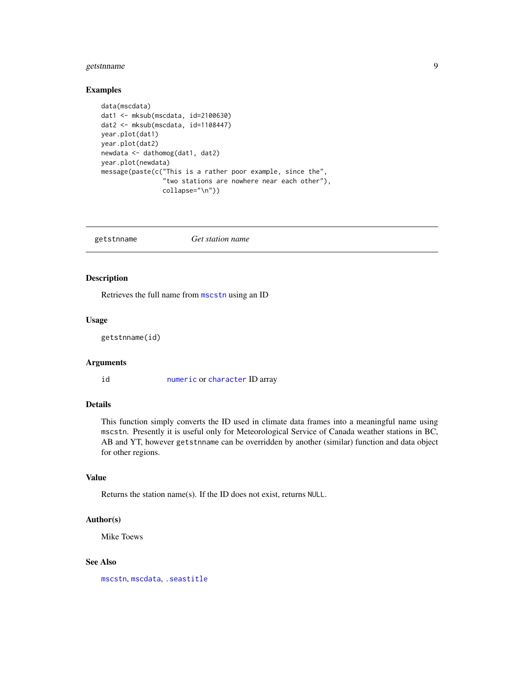# <span id="page-8-0"></span>getstnname 9

#### Examples

```
data(mscdata)
dat1 <- mksub(mscdata, id=2100630)
dat2 <- mksub(mscdata, id=1108447)
year.plot(dat1)
year.plot(dat2)
newdata <- dathomog(dat1, dat2)
year.plot(newdata)
message(paste(c("This is a rather poor example, since the",
                "two stations are nowhere near each other"),
                collapse="\n"))
```
<span id="page-8-1"></span>getstnname *Get station name*

# Description

Retrieves the full name from [mscstn](#page-25-1) using an ID

#### Usage

getstnname(id)

# Arguments

id [numeric](#page-0-0) or [character](#page-0-0) ID array

# Details

This function simply converts the ID used in climate data frames into a meaningful name using mscstn. Presently it is useful only for Meteorological Service of Canada weather stations in BC, AB and YT, however getstnname can be overridden by another (similar) function and data object for other regions.

# Value

Returns the station name(s). If the ID does not exist, returns NULL.

#### Author(s)

Mike Toews

#### See Also

[mscstn](#page-25-1), [mscdata](#page-22-1), [.seastitle](#page-9-1)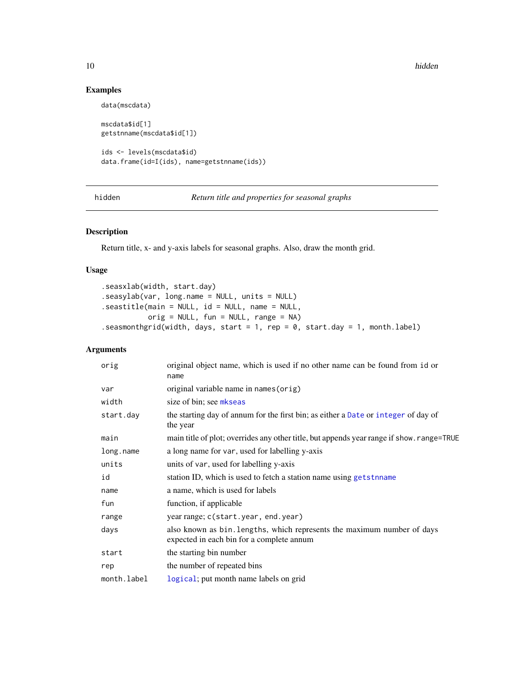10 hidden has been also been also been also been also been also been also been also been also been also been a

# Examples

```
data(mscdata)
mscdata$id[1]
getstnname(mscdata$id[1])
ids <- levels(mscdata$id)
data.frame(id=I(ids), name=getstnname(ids))
```
<span id="page-9-2"></span>hidden *Return title and properties for seasonal graphs*

# <span id="page-9-1"></span>Description

Return title, x- and y-axis labels for seasonal graphs. Also, draw the month grid.

#### Usage

.seasxlab(width, start.day) .seasylab(var, long.name = NULL, units = NULL) .seastitle(main = NULL, id = NULL, name = NULL, orig = NULL, fun = NULL, range = NA) .seasmonthgrid(width, days, start = 1, rep =  $\theta$ , start.day = 1, month.label)

# Arguments

| orig        | original object name, which is used if no other name can be found from id or<br>name                                 |
|-------------|----------------------------------------------------------------------------------------------------------------------|
| var         | original variable name in names (orig)                                                                               |
| width       | size of bin; see mkseas                                                                                              |
| start.day   | the starting day of annum for the first bin; as either a Date or integer of day of<br>the year                       |
| main        | main title of plot; overrides any other title, but appends year range if show. range=TRUE                            |
| long.name   | a long name for var, used for labelling y-axis                                                                       |
| units       | units of var, used for labelling y-axis                                                                              |
| id          | station ID, which is used to fetch a station name using getstnname                                                   |
| name        | a name, which is used for labels                                                                                     |
| fun         | function, if applicable                                                                                              |
| range       | year range; c(start.year, end.year)                                                                                  |
| days        | also known as bin. lengths, which represents the maximum number of days<br>expected in each bin for a complete annum |
| start       | the starting bin number                                                                                              |
| rep         | the number of repeated bins                                                                                          |
| month.label | logical; put month name labels on grid                                                                               |

<span id="page-9-0"></span>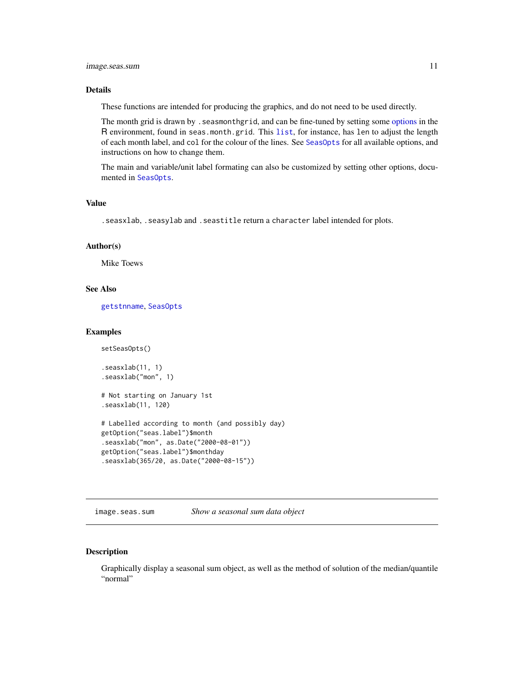# <span id="page-10-0"></span>image.seas.sum 11

# Details

These functions are intended for producing the graphics, and do not need to be used directly.

The month grid is drawn by .seasmonthgrid, and can be fine-tuned by setting some [options](#page-0-0) in the R environment, found in seas.month.grid. This [list](#page-0-0), for instance, has len to adjust the length of each month label, and col for the colour of the lines. See [SeasOpts](#page-46-1) for all available options, and instructions on how to change them.

The main and variable/unit label formating can also be customized by setting other options, documented in [SeasOpts](#page-46-1).

# Value

.seasxlab, .seasylab and .seastitle return a character label intended for plots.

#### Author(s)

Mike Toews

#### See Also

[getstnname](#page-8-1), [SeasOpts](#page-46-1)

#### Examples

```
setSeasOpts()
.seasxlab(11, 1)
.seasxlab("mon", 1)
# Not starting on January 1st
.seasxlab(11, 120)
# Labelled according to month (and possibly day)
getOption("seas.label")$month
.seasxlab("mon", as.Date("2000-08-01"))
getOption("seas.label")$monthday
.seasxlab(365/20, as.Date("2000-08-15"))
```
<span id="page-10-1"></span>image.seas.sum *Show a seasonal sum data object*

#### Description

Graphically display a seasonal sum object, as well as the method of solution of the median/quantile "normal"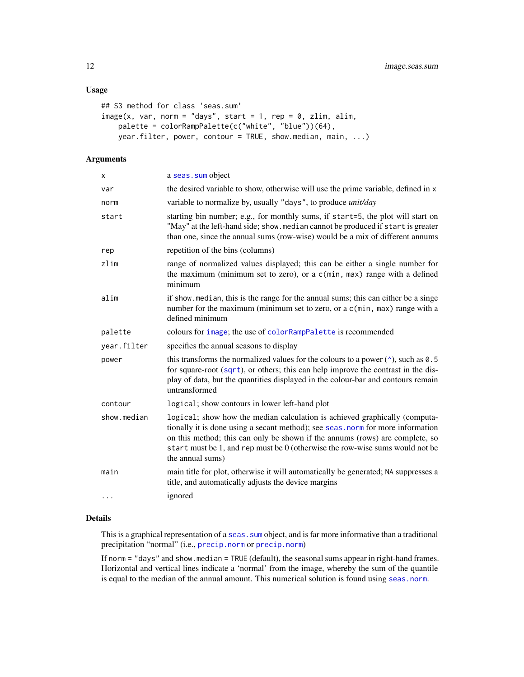# <span id="page-11-0"></span>Usage

```
## S3 method for class 'seas.sum'
image(x, var, norm = "days", start = 1, rep = 0, zlim, alim,palette = colorRampPalette(c("white", "blue"))(64),
   year.filter, power, contour = TRUE, show.median, main, ...)
```
# Arguments

| X           | a seas. sum object                                                                                                                                                                                                                                                                                                                                   |
|-------------|------------------------------------------------------------------------------------------------------------------------------------------------------------------------------------------------------------------------------------------------------------------------------------------------------------------------------------------------------|
| var         | the desired variable to show, otherwise will use the prime variable, defined in x                                                                                                                                                                                                                                                                    |
| norm        | variable to normalize by, usually "days", to produce <i>unit/day</i>                                                                                                                                                                                                                                                                                 |
| start       | starting bin number; e.g., for monthly sums, if start=5, the plot will start on<br>"May" at the left-hand side; show. median cannot be produced if start is greater<br>than one, since the annual sums (row-wise) would be a mix of different annums                                                                                                 |
| rep         | repetition of the bins (columns)                                                                                                                                                                                                                                                                                                                     |
| zlim        | range of normalized values displayed; this can be either a single number for<br>the maximum (minimum set to zero), or a c(min, max) range with a defined<br>minimum                                                                                                                                                                                  |
| alim        | if show median, this is the range for the annual sums; this can either be a singe<br>number for the maximum (minimum set to zero, or a c(min, max) range with a<br>defined minimum                                                                                                                                                                   |
| palette     | colours for image; the use of colorRampPalette is recommended                                                                                                                                                                                                                                                                                        |
| year.filter | specifies the annual seasons to display                                                                                                                                                                                                                                                                                                              |
| power       | this transforms the normalized values for the colours to a power $(^{\wedge})$ , such as 0.5<br>for square-root $(sqrt)$ , or others; this can help improve the contrast in the dis-<br>play of data, but the quantities displayed in the colour-bar and contours remain<br>untransformed                                                            |
| contour     | logical; show contours in lower left-hand plot                                                                                                                                                                                                                                                                                                       |
| show.median | logical; show how the median calculation is achieved graphically (computa-<br>tionally it is done using a secant method); see seas . norm for more information<br>on this method; this can only be shown if the annums (rows) are complete, so<br>start must be 1, and rep must be $0$ (otherwise the row-wise sums would not be<br>the annual sums) |
| main        | main title for plot, otherwise it will automatically be generated; NA suppresses a<br>title, and automatically adjusts the device margins                                                                                                                                                                                                            |
| $\cdots$    | ignored                                                                                                                                                                                                                                                                                                                                              |

# Details

This is a graphical representation of a seas. sum object, and is far more informative than a traditional precipitation "normal" (i.e., [precip.norm](#page-37-2) or [precip.norm](#page-37-2))

If norm = "days" and show.median = TRUE (default), the seasonal sums appear in right-hand frames. Horizontal and vertical lines indicate a 'normal' from the image, whereby the sum of the quantile is equal to the median of the annual amount. This numerical solution is found using [seas.norm](#page-37-1).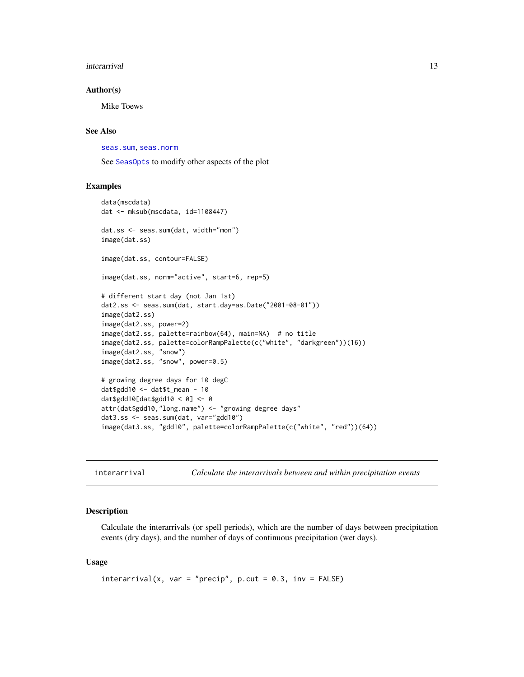#### <span id="page-12-0"></span>interarrival and the contract of the contract of the contract of the contract of the contract of the contract of the contract of the contract of the contract of the contract of the contract of the contract of the contract

#### Author(s)

Mike Toews

### See Also

[seas.sum](#page-40-1), [seas.norm](#page-37-1)

See [SeasOpts](#page-46-1) to modify other aspects of the plot

### Examples

```
data(mscdata)
dat <- mksub(mscdata, id=1108447)
dat.ss <- seas.sum(dat, width="mon")
image(dat.ss)
image(dat.ss, contour=FALSE)
image(dat.ss, norm="active", start=6, rep=5)
# different start day (not Jan 1st)
dat2.ss <- seas.sum(dat, start.day=as.Date("2001-08-01"))
image(dat2.ss)
image(dat2.ss, power=2)
image(dat2.ss, palette=rainbow(64), main=NA) # no title
image(dat2.ss, palette=colorRampPalette(c("white", "darkgreen"))(16))
image(dat2.ss, "snow")
image(dat2.ss, "snow", power=0.5)
# growing degree days for 10 degC
dat$gdd10 <- dat$t_mean - 10
dat$gdd10[dat$gdd10 < 0] <- 0
attr(dat$gdd10,"long.name") <- "growing degree days"
dat3.ss <- seas.sum(dat, var="gdd10")
image(dat3.ss, "gdd10", palette=colorRampPalette(c("white", "red"))(64))
```
<span id="page-12-1"></span>interarrival *Calculate the interarrivals between and within precipitation events*

# Description

Calculate the interarrivals (or spell periods), which are the number of days between precipitation events (dry days), and the number of days of continuous precipitation (wet days).

#### Usage

```
interval(x, var = "precip", p-cut = 0.3, inv = FALSE)
```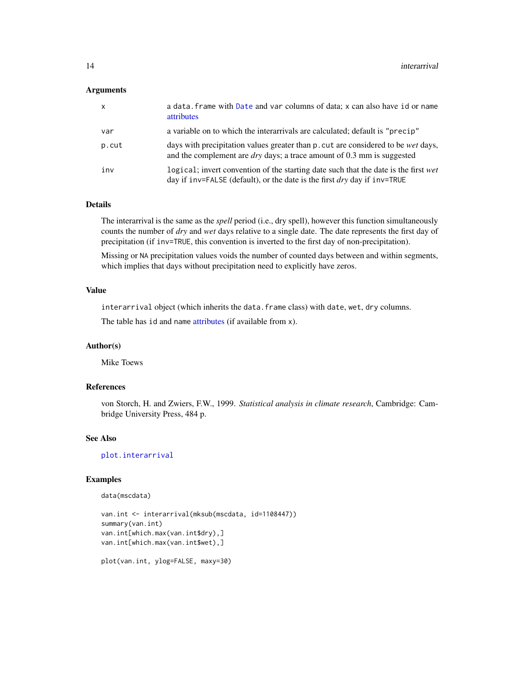#### <span id="page-13-0"></span>**Arguments**

| $\mathsf{x}$ | a data. frame with Date and var columns of data; x can also have id or name<br>attributes                                                                                   |
|--------------|-----------------------------------------------------------------------------------------------------------------------------------------------------------------------------|
| var          | a variable on to which the interarrivals are calculated; default is "precip"                                                                                                |
| p.cut        | days with precipitation values greater than p. cut are considered to be <i>wet</i> days,<br>and the complement are $\frac{dy}{dx}$ ; a trace amount of 0.3 mm is suggested  |
| inv          | logical; invert convention of the starting date such that the date is the first wet<br>day if inv=FALSE (default), or the date is the first $\frac{dy}{dx}$ day if inv=TRUE |

# Details

The interarrival is the same as the *spell* period (i.e., dry spell), however this function simultaneously counts the number of *dry* and *wet* days relative to a single date. The date represents the first day of precipitation (if inv=TRUE, this convention is inverted to the first day of non-precipitation).

Missing or NA precipitation values voids the number of counted days between and within segments, which implies that days without precipitation need to explicitly have zeros.

#### Value

interarrival object (which inherits the data.frame class) with date, wet, dry columns.

The table has id and name [attributes](#page-0-0) (if available from x).

#### Author(s)

Mike Toews

# References

von Storch, H. and Zwiers, F.W., 1999. *Statistical analysis in climate research*, Cambridge: Cambridge University Press, 484 p.

# See Also

[plot.interarrival](#page-26-1)

# Examples

```
data(mscdata)
```

```
van.int <- interarrival(mksub(mscdata, id=1108447))
summary(van.int)
van.int[which.max(van.int$dry),]
van.int[which.max(van.int$wet),]
```

```
plot(van.int, ylog=FALSE, maxy=30)
```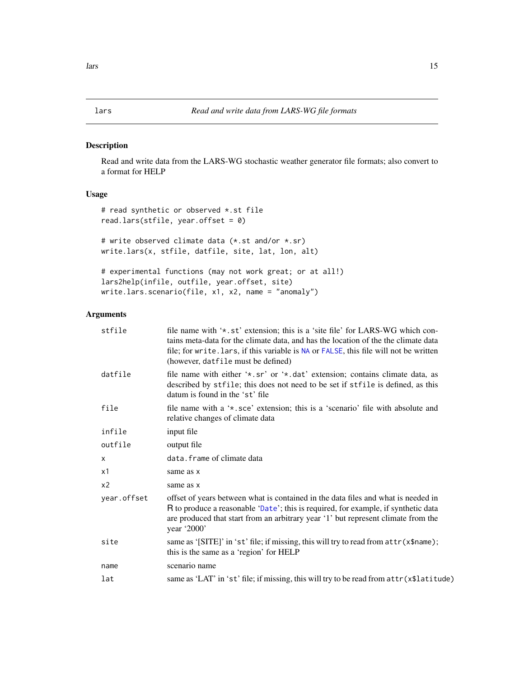# <span id="page-14-2"></span><span id="page-14-1"></span><span id="page-14-0"></span>Description

Read and write data from the LARS-WG stochastic weather generator file formats; also convert to a format for HELP

# Usage

```
# read synthetic or observed *.st file
read.lars(stfile, year.offset = 0)
# write observed climate data (*.st and/or *.sr)
write.lars(x, stfile, datfile, site, lat, lon, alt)
```
# experimental functions (may not work great; or at all!) lars2help(infile, outfile, year.offset, site) write.lars.scenario(file, x1, x2, name = "anomaly")

# Arguments

| stfile         | file name with '*.st' extension; this is a 'site file' for LARS-WG which con-<br>tains meta-data for the climate data, and has the location of the the climate data<br>file; for write. lars, if this variable is NA or FALSE, this file will not be written<br>(however, datfile must be defined) |
|----------------|----------------------------------------------------------------------------------------------------------------------------------------------------------------------------------------------------------------------------------------------------------------------------------------------------|
| datfile        | file name with either '*.sr' or '*.dat' extension; contains climate data, as<br>described by stfile; this does not need to be set if stfile is defined, as this<br>datum is found in the 'st' file                                                                                                 |
| file           | file name with a '*, sce' extension; this is a 'scenario' file with absolute and<br>relative changes of climate data                                                                                                                                                                               |
| infile         | input file                                                                                                                                                                                                                                                                                         |
| outfile        | output file                                                                                                                                                                                                                                                                                        |
| $\times$       | data. frame of climate data                                                                                                                                                                                                                                                                        |
| x1             | same as x                                                                                                                                                                                                                                                                                          |
| x <sub>2</sub> | same as x                                                                                                                                                                                                                                                                                          |
| year.offset    | offset of years between what is contained in the data files and what is needed in<br>R to produce a reasonable 'Date'; this is required, for example, if synthetic data<br>are produced that start from an arbitrary year '1' but represent climate from the<br>year '2000'                        |
| site           | same as '[SITE]' in 'st' file; if missing, this will try to read from attr(x\$name);<br>this is the same as a 'region' for HELP                                                                                                                                                                    |
| name           | scenario name                                                                                                                                                                                                                                                                                      |
| lat            | same as 'LAT' in 'st' file; if missing, this will try to be read from attr(x\$latitude)                                                                                                                                                                                                            |
|                |                                                                                                                                                                                                                                                                                                    |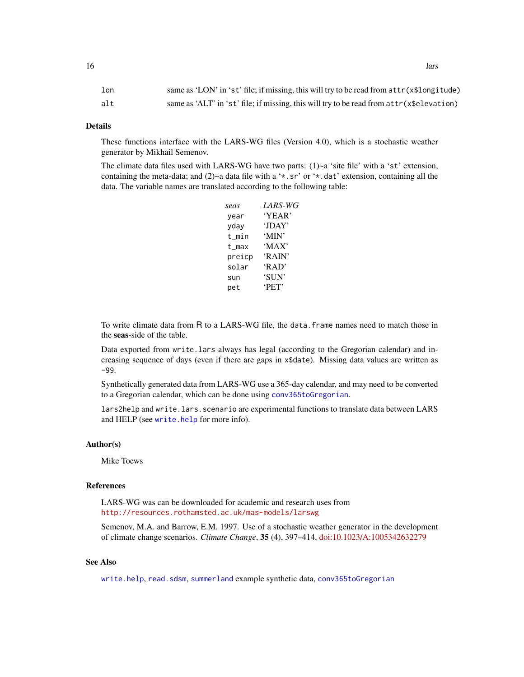### <span id="page-15-0"></span>Details

These functions interface with the LARS-WG files (Version 4.0), which is a stochastic weather generator by Mikhail Semenov.

The climate data files used with LARS-WG have two parts:  $(1)$ ~a 'site file' with a 'st' extension, containing the meta-data; and  $(2)$  a data file with a '\*.sr' or '\*.dat' extension, containing all the data. The variable names are translated according to the following table:

| seas   | LARS-WG |
|--------|---------|
| year   | 'YEAR'  |
| yday   | 'JDAY'  |
| t min  | 'MIN'   |
| t max  | 'MAX'   |
| preicp | 'RAIN'  |
| solar  | 'RAD'   |
| sun    | 'SUN'   |
| pet    | 'PET'   |
|        |         |

To write climate data from R to a LARS-WG file, the data. frame names need to match those in the seas-side of the table.

Data exported from write.lars always has legal (according to the Gregorian calendar) and increasing sequence of days (even if there are gaps in x\$date). Missing data values are written as -99.

Synthetically generated data from LARS-WG use a 365-day calendar, and may need to be converted to a Gregorian calendar, which can be done using [conv365toGregorian](#page-6-1).

lars2help and write.lars.scenario are experimental functions to translate data between LARS and HELP (see [write.help](#page-50-1) for more info).

#### Author(s)

Mike Toews

# References

LARS-WG was can be downloaded for academic and research uses from <http://resources.rothamsted.ac.uk/mas-models/larswg>

Semenov, M.A. and Barrow, E.M. 1997. Use of a stochastic weather generator in the development of climate change scenarios. *Climate Change*, 35 (4), 397–414, [doi:10.1023/A:1005342632279](https://doi.org/10.1023/A%3A1005342632279)

# See Also

[write.help](#page-50-1), [read.sdsm](#page-34-1), [summerland](#page-49-1) example synthetic data, [conv365toGregorian](#page-6-1)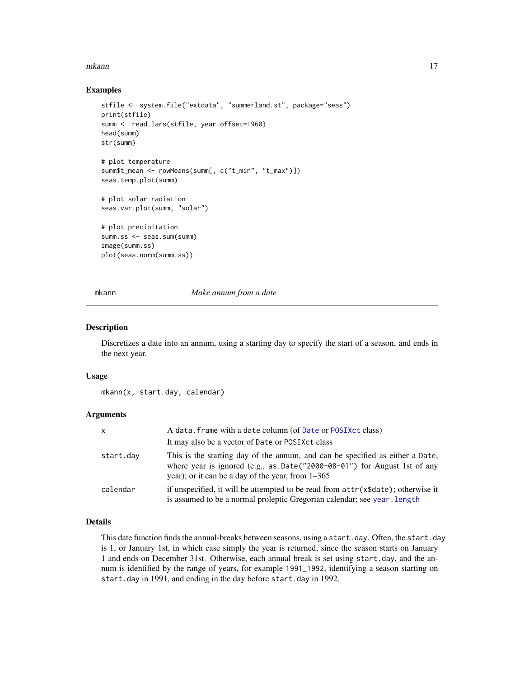#### <span id="page-16-0"></span>mkann 17

#### Examples

```
stfile <- system.file("extdata", "summerland.st", package="seas")
print(stfile)
summ <- read.lars(stfile, year.offset=1960)
head(summ)
str(summ)
# plot temperature
summ$t_mean <- rowMeans(summ[, c("t_min", "t_max")])
seas.temp.plot(summ)
# plot solar radiation
seas.var.plot(summ, "solar")
# plot precipitation
summ.ss <- seas.sum(summ)
image(summ.ss)
plot(seas.norm(summ.ss))
```
mkann *Make annum from a date*

#### Description

Discretizes a date into an annum, using a starting day to specify the start of a season, and ends in the next year.

#### Usage

mkann(x, start.day, calendar)

#### Arguments

| X         | A data. frame with a date column (of Date or POSIXct class)                                                                                                                                                      |
|-----------|------------------------------------------------------------------------------------------------------------------------------------------------------------------------------------------------------------------|
|           | It may also be a vector of Date or POSIX ct class                                                                                                                                                                |
| start.day | This is the starting day of the annum, and can be specified as either a Date,<br>where year is ignored (e.g., as.Date("2000-08-01") for August 1st of any<br>year); or it can be a day of the year, from $1-365$ |
| calendar  | if unspecified, it will be attempted to be read from $attr(x\$ date); otherwise it<br>is assumed to be a normal proleptic Gregorian calendar; see year. length                                                   |

# Details

This date function finds the annual-breaks between seasons, using a start.day. Often, the start.day is 1, or January 1st, in which case simply the year is returned, since the season starts on January 1 and ends on December 31st. Otherwise, each annual break is set using start.day, and the annum is identified by the range of years, for example 1991\_1992, identifying a season starting on start.day in 1991, and ending in the day before start.day in 1992.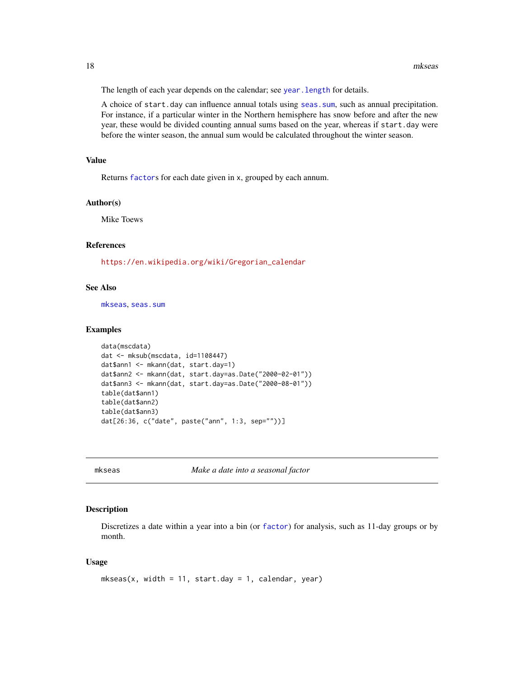<span id="page-17-0"></span>The length of each year depends on the calendar; see year. length for details.

A choice of start.day can influence annual totals using [seas.sum](#page-40-1), such as annual precipitation. For instance, if a particular winter in the Northern hemisphere has snow before and after the new year, these would be divided counting annual sums based on the year, whereas if start.day were before the winter season, the annual sum would be calculated throughout the winter season.

### Value

Returns [factor](#page-0-0)s for each date given in x, grouped by each annum.

#### Author(s)

Mike Toews

# References

[https://en.wikipedia.org/wiki/Gregorian\\_calendar](https://en.wikipedia.org/wiki/Gregorian_calendar)

# See Also

[mkseas](#page-17-1), [seas.sum](#page-40-1)

# Examples

```
data(mscdata)
dat <- mksub(mscdata, id=1108447)
dat$ann1 <- mkann(dat, start.day=1)
dat$ann2 <- mkann(dat, start.day=as.Date("2000-02-01"))
dat$ann3 <- mkann(dat, start.day=as.Date("2000-08-01"))
table(dat$ann1)
table(dat$ann2)
table(dat$ann3)
dat[26:36, c("date", paste("ann", 1:3, sep=""))]
```
<span id="page-17-1"></span>mkseas *Make a date into a seasonal factor*

#### Description

Discretizes a date within a year into a bin (or [factor](#page-0-0)) for analysis, such as 11-day groups or by month.

#### Usage

```
mkseas(x, width = 11, start/day = 1, calendar, year)
```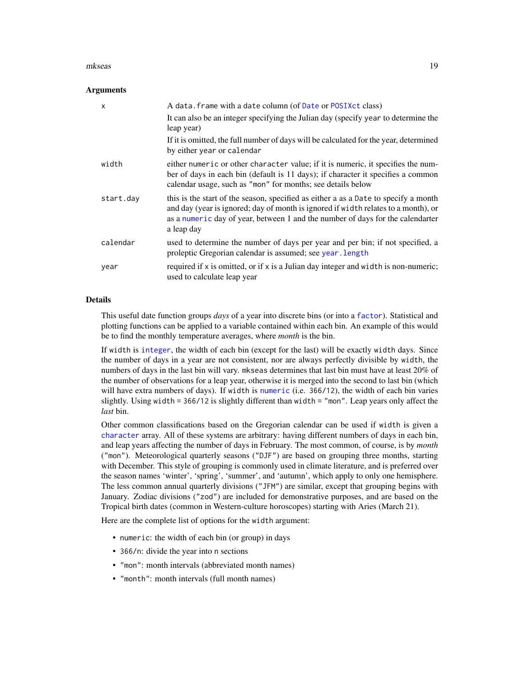#### <span id="page-18-0"></span>mkseas and the set of the set of the set of the set of the set of the set of the set of the set of the set of the set of the set of the set of the set of the set of the set of the set of the set of the set of the set of th

#### **Arguments**

| X         | A data. frame with a date column (of Date or POSIX ct class)<br>It can also be an integer specifying the Julian day (specify year to determine the<br>leap year)                                                                                                          |
|-----------|---------------------------------------------------------------------------------------------------------------------------------------------------------------------------------------------------------------------------------------------------------------------------|
|           | If it is omitted, the full number of days will be calculated for the year, determined<br>by either year or calendar                                                                                                                                                       |
| width     | either numeric or other character value; if it is numeric, it specifies the num-<br>ber of days in each bin (default is 11 days); if character it specifies a common<br>calendar usage, such as "mon" for months; see details below                                       |
| start.day | this is the start of the season, specified as either a as a Date to specify a month<br>and day (year is ignored; day of month is ignored if width relates to a month), or<br>as a numeric day of year, between 1 and the number of days for the calendarter<br>a leap day |
| calendar  | used to determine the number of days per year and per bin; if not specified, a<br>proleptic Gregorian calendar is assumed; see year. Length                                                                                                                               |
| year      | required if x is omitted, or if x is a Julian day integer and width is non-numeric;<br>used to calculate leap year                                                                                                                                                        |

#### Details

This useful date function groups *days* of a year into discrete bins (or into a [factor](#page-0-0)). Statistical and plotting functions can be applied to a variable contained within each bin. An example of this would be to find the monthly temperature averages, where *month* is the bin.

If width is [integer](#page-0-0), the width of each bin (except for the last) will be exactly width days. Since the number of days in a year are not consistent, nor are always perfectly divisible by width, the numbers of days in the last bin will vary. mkseas determines that last bin must have at least 20% of the number of observations for a leap year, otherwise it is merged into the second to last bin (which will have extra numbers of days). If width is [numeric](#page-0-0) (i.e. 366/12), the width of each bin varies slightly. Using width = 366/12 is slightly different than width = "mon". Leap years only affect the *last* bin.

Other common classifications based on the Gregorian calendar can be used if width is given a [character](#page-0-0) array. All of these systems are arbitrary: having different numbers of days in each bin, and leap years affecting the number of days in February. The most common, of course, is by *month* ("mon"). Meteorological quarterly seasons ("DJF") are based on grouping three months, starting with December. This style of grouping is commonly used in climate literature, and is preferred over the season names 'winter', 'spring', 'summer', and 'autumn', which apply to only one hemisphere. The less common annual quarterly divisions ("JFM") are similar, except that grouping begins with January. Zodiac divisions ("zod") are included for demonstrative purposes, and are based on the Tropical birth dates (common in Western-culture horoscopes) starting with Aries (March 21).

Here are the complete list of options for the width argument:

- numeric: the width of each bin (or group) in days
- 366/n: divide the year into n sections
- "mon": month intervals (abbreviated month names)
- "month": month intervals (full month names)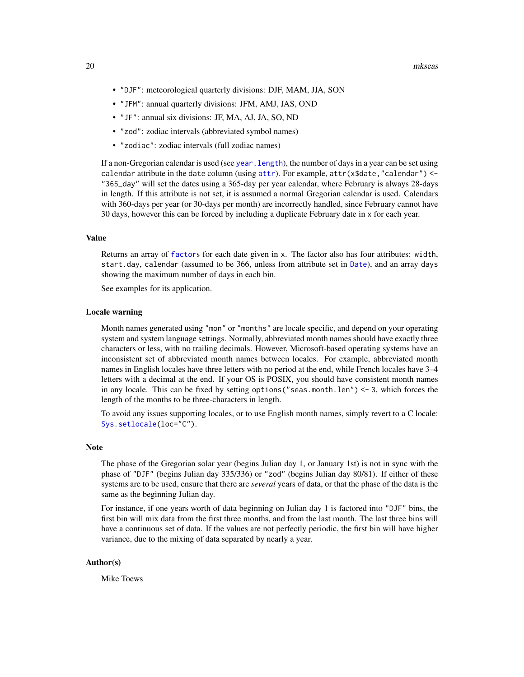- <span id="page-19-0"></span>• "DJF": meteorological quarterly divisions: DJF, MAM, JJA, SON
- "JFM": annual quarterly divisions: JFM, AMJ, JAS, OND
- "JF": annual six divisions: JF, MA, AJ, JA, SO, ND
- "zod": zodiac intervals (abbreviated symbol names)
- "zodiac": zodiac intervals (full zodiac names)

If a non-Gregorian calendar is used (see year. length), the number of days in a year can be set using calendar [attr](#page-0-0)ibute in the date column (using attr). For example,  $attr(x$date, "calendar") <$ "365\_day" will set the dates using a 365-day per year calendar, where February is always 28-days in length. If this attribute is not set, it is assumed a normal Gregorian calendar is used. Calendars with 360-days per year (or 30-days per month) are incorrectly handled, since February cannot have 30 days, however this can be forced by including a duplicate February date in x for each year.

#### Value

Returns an array of [factor](#page-0-0)s for each date given in x. The factor also has four attributes: width, start.day, calendar (assumed to be 366, unless from attribute set in [Date](#page-0-0)), and an array days showing the maximum number of days in each bin.

See examples for its application.

#### Locale warning

Month names generated using "mon" or "months" are locale specific, and depend on your operating system and system language settings. Normally, abbreviated month names should have exactly three characters or less, with no trailing decimals. However, Microsoft-based operating systems have an inconsistent set of abbreviated month names between locales. For example, abbreviated month names in English locales have three letters with no period at the end, while French locales have 3–4 letters with a decimal at the end. If your OS is POSIX, you should have consistent month names in any locale. This can be fixed by setting options ("seas.month.len")  $<-3$ , which forces the length of the months to be three-characters in length.

To avoid any issues supporting locales, or to use English month names, simply revert to a C locale: [Sys.setlocale\(](#page-0-0)loc="C").

#### **Note**

The phase of the Gregorian solar year (begins Julian day 1, or January 1st) is not in sync with the phase of "DJF" (begins Julian day 335/336) or "zod" (begins Julian day 80/81). If either of these systems are to be used, ensure that there are *several* years of data, or that the phase of the data is the same as the beginning Julian day.

For instance, if one years worth of data beginning on Julian day 1 is factored into "DJF" bins, the first bin will mix data from the first three months, and from the last month. The last three bins will have a continuous set of data. If the values are not perfectly periodic, the first bin will have higher variance, due to the mixing of data separated by nearly a year.

# Author(s)

Mike Toews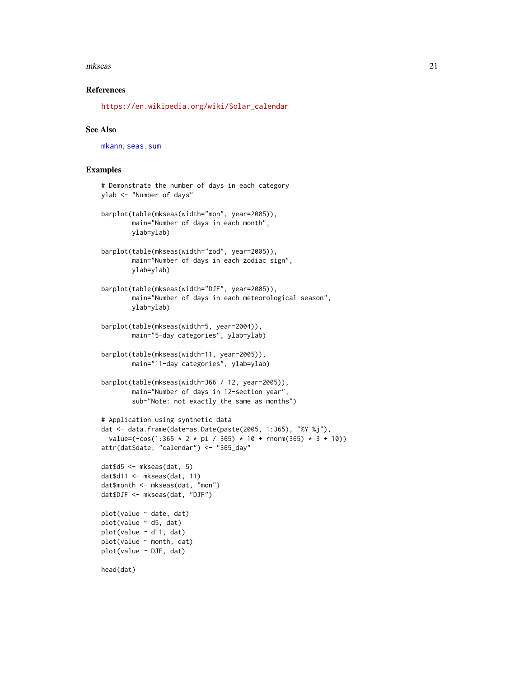#### <span id="page-20-0"></span>mkseas 21

#### References

[https://en.wikipedia.org/wiki/Solar\\_calendar](https://en.wikipedia.org/wiki/Solar_calendar)

#### See Also

[mkann](#page-16-1), [seas.sum](#page-40-1)

# Examples

```
# Demonstrate the number of days in each category
ylab <- "Number of days"
barplot(table(mkseas(width="mon", year=2005)),
        main="Number of days in each month",
        ylab=ylab)
barplot(table(mkseas(width="zod", year=2005)),
        main="Number of days in each zodiac sign",
        ylab=ylab)
barplot(table(mkseas(width="DJF", year=2005)),
        main="Number of days in each meteorological season",
       ylab=ylab)
barplot(table(mkseas(width=5, year=2004)),
       main="5-day categories", ylab=ylab)
barplot(table(mkseas(width=11, year=2005)),
        main="11-day categories", ylab=ylab)
barplot(table(mkseas(width=366 / 12, year=2005)),
        main="Number of days in 12-section year",
        sub="Note: not exactly the same as months")
# Application using synthetic data
dat <- data.frame(date=as.Date(paste(2005, 1:365), "%Y %j"),
  value=(-cos(1:365 * 2 * pi / 365) * 10 + rnorm(365) * 3 + 10))
attr(dat$date, "calendar") <- "365_day"
dat$d5 <- mkseas(dat, 5)
dat$d11 < - mkseas(dat, 11)
dat$month <- mkseas(dat, "mon")
dat$DJF <- mkseas(dat, "DJF")
plot(value ~ date, dat)
plot(value ~ d5, dat)plot(value ~ d11, dat)
plot(value ~ month, dat)
plot(value ~ DJF, dat)
head(dat)
```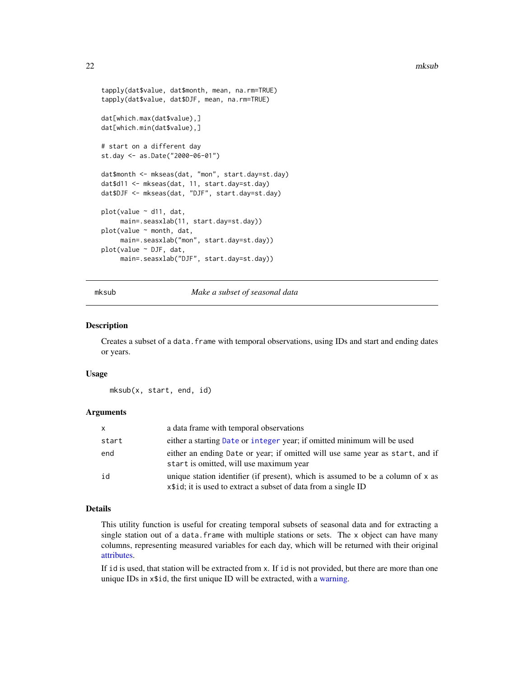```
tapply(dat$value, dat$month, mean, na.rm=TRUE)
tapply(dat$value, dat$DJF, mean, na.rm=TRUE)
dat[which.max(dat$value),]
dat[which.min(dat$value),]
# start on a different day
st.day <- as.Date("2000-06-01")
dat$month <- mkseas(dat, "mon", start.day=st.day)
dat$d11 <- mkseas(dat, 11, start.day=st.day)
dat$DJF <- mkseas(dat, "DJF", start.day=st.day)
plot(value ~ d11, dat,
     main=.seasxlab(11, start.day=st.day))
plot(value ~ month, dat,
    main=.seasxlab("mon", start.day=st.day))
plot(value ~ DJF, dat,
    main=.seasxlab("DJF", start.day=st.day))
```
mksub *Make a subset of seasonal data*

#### Description

Creates a subset of a data.frame with temporal observations, using IDs and start and ending dates or years.

#### Usage

mksub(x, start, end, id)

# Arguments

| <b>X</b> | a data frame with temporal observations                                                                                                            |
|----------|----------------------------------------------------------------------------------------------------------------------------------------------------|
| start    | either a starting Date or integer year; if omitted minimum will be used                                                                            |
| end      | either an ending Date or year; if omitted will use same year as start, and if<br>start is omitted, will use maximum year                           |
| id       | unique station identifier (if present), which is assumed to be a column of x as<br>x\\$id; it is used to extract a subset of data from a single ID |

# Details

This utility function is useful for creating temporal subsets of seasonal data and for extracting a single station out of a data.frame with multiple stations or sets. The x object can have many columns, representing measured variables for each day, which will be returned with their original [attributes.](#page-0-0)

If id is used, that station will be extracted from x. If id is not provided, but there are more than one unique IDs in x\$id, the first unique ID will be extracted, with a [warning.](#page-0-0)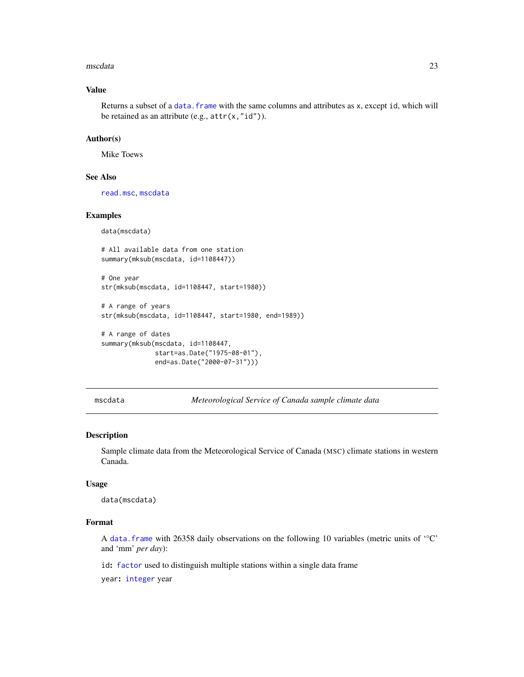#### <span id="page-22-0"></span>mscdata 23

# Value

Returns a subset of a data. frame with the same columns and attributes as x, except id, which will be retained as an attribute (e.g.,  $attr(x, "id").$ ).

#### Author(s)

Mike Toews

#### See Also

[read.msc](#page-31-1), [mscdata](#page-22-1)

#### Examples

data(mscdata)

# All available data from one station summary(mksub(mscdata, id=1108447))

```
# One year
str(mksub(mscdata, id=1108447, start=1980))
```

```
# A range of years
str(mksub(mscdata, id=1108447, start=1980, end=1989))
```

```
# A range of dates
summary(mksub(mscdata, id=1108447,
             start=as.Date("1975-08-01"),
             end=as.Date("2000-07-31")))
```
<span id="page-22-1"></span>mscdata *Meteorological Service of Canada sample climate data*

# Description

Sample climate data from the Meteorological Service of Canada (MSC) climate stations in western Canada.

### Usage

data(mscdata)

# Format

A [data.frame](#page-0-0) with 26358 daily observations on the following 10 variables (metric units of '°C' and 'mm' *per day*):

id: [factor](#page-0-0) used to distinguish multiple stations within a single data frame

year: [integer](#page-0-0) year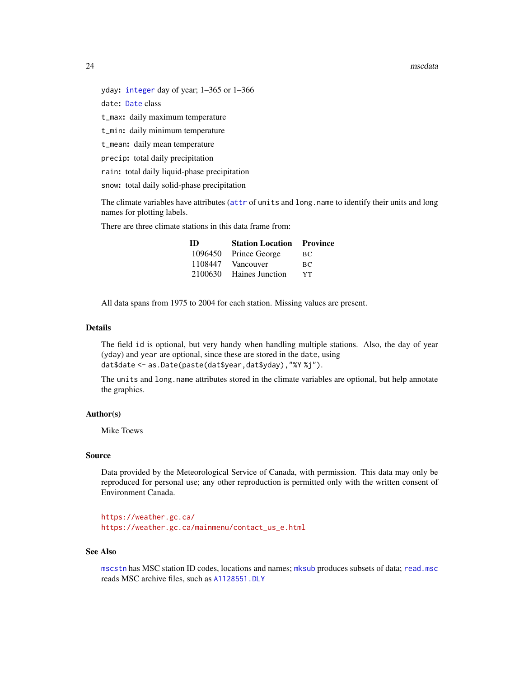#### <span id="page-23-0"></span>24 mscdata

yday: [integer](#page-0-0) day of year; 1–365 or 1–366

date: [Date](#page-0-0) class

t\_max: daily maximum temperature

t\_min: daily minimum temperature

t\_mean: daily mean temperature

precip: total daily precipitation

rain: total daily liquid-phase precipitation

snow: total daily solid-phase precipitation

The climate variables have [attr](#page-0-0)ibutes (attr of units and long.name to identify their units and long names for plotting labels.

There are three climate stations in this data frame from:

| <b>ID</b> | <b>Station Location Province</b> |     |
|-----------|----------------------------------|-----|
|           | 1096450 Prince George            | BC. |
| 1108447   | Vancouver                        | BC. |
| 2100630   | <b>Haines Junction</b>           | YТ  |

All data spans from 1975 to 2004 for each station. Missing values are present.

# Details

The field id is optional, but very handy when handling multiple stations. Also, the day of year (yday) and year are optional, since these are stored in the date, using dat\$date <- as.Date(paste(dat\$year,dat\$yday),"%Y %j").

The units and long.name attributes stored in the climate variables are optional, but help annotate the graphics.

# Author(s)

Mike Toews

#### Source

Data provided by the Meteorological Service of Canada, with permission. This data may only be reproduced for personal use; any other reproduction is permitted only with the written consent of Environment Canada.

<https://weather.gc.ca/> [https://weather.gc.ca/mainmenu/contact\\_us\\_e.html](https://weather.gc.ca/mainmenu/contact_us_e.html)

#### See Also

[mscstn](#page-25-1) has MSC station ID codes, locations and names; [mksub](#page-21-1) produces subsets of data; [read.msc](#page-31-1) reads MSC archive files, such as [A1128551.DLY](#page-2-1)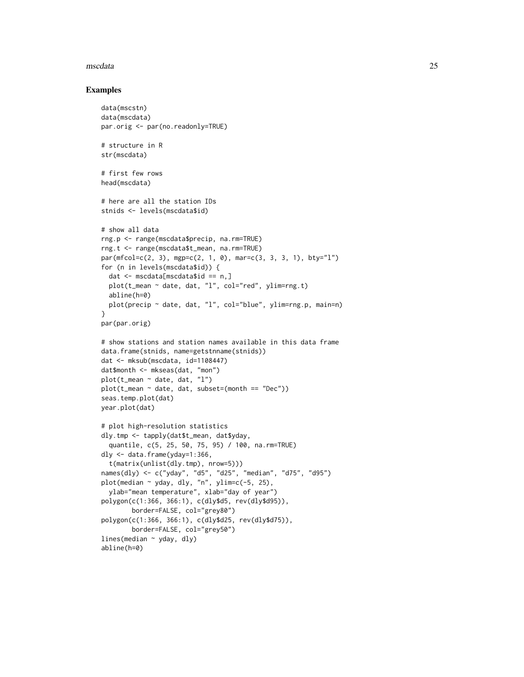#### mscdata 25

#### Examples

```
data(mscstn)
data(mscdata)
par.orig <- par(no.readonly=TRUE)
# structure in R
str(mscdata)
# first few rows
head(mscdata)
# here are all the station IDs
stnids <- levels(mscdata$id)
# show all data
rng.p <- range(mscdata$precip, na.rm=TRUE)
rng.t <- range(mscdata$t_mean, na.rm=TRUE)
par(mfcol=c(2, 3), mgp=c(2, 1, 0), mar=c(3, 3, 3, 1), bty="l")
for (n in levels(mscdata$id)) {
  dat <- mscdata[mscdata$id == n,]
  plot(t_mean ~ date, dat, "l", col="red", ylim=rng.t)
  abline(h=0)
  plot(precip ~ date, dat, "l", col="blue", ylim=rng.p, main=n)
}
par(par.orig)
# show stations and station names available in this data frame
data.frame(stnids, name=getstnname(stnids))
dat <- mksub(mscdata, id=1108447)
dat$month <- mkseas(dat, "mon")
plot(t_mean ~ date, dat, "l")
plot(t_mean ~ date, dat, subset=(month == "Dec"))
seas.temp.plot(dat)
year.plot(dat)
# plot high-resolution statistics
dly.tmp <- tapply(dat$t_mean, dat$yday,
  quantile, c(5, 25, 50, 75, 95) / 100, na.rm=TRUE)
dly <- data.frame(yday=1:366,
  t(matrix(unlist(dly.tmp), nrow=5)))
names(dly) <- c("yday", "d5", "d25", "median", "d75", "d95")
plot(median \sim yday, dly, "n", ylim=c(-5, 25),
  ylab="mean temperature", xlab="day of year")
polygon(c(1:366, 366:1), c(dly$d5, rev(dly$d95)),
        border=FALSE, col="grey80")
polygon(c(1:366, 366:1), c(dly$d25, rev(dly$d75)),
        border=FALSE, col="grey50")
lines(median \sim yday, dly)
abline(h=0)
```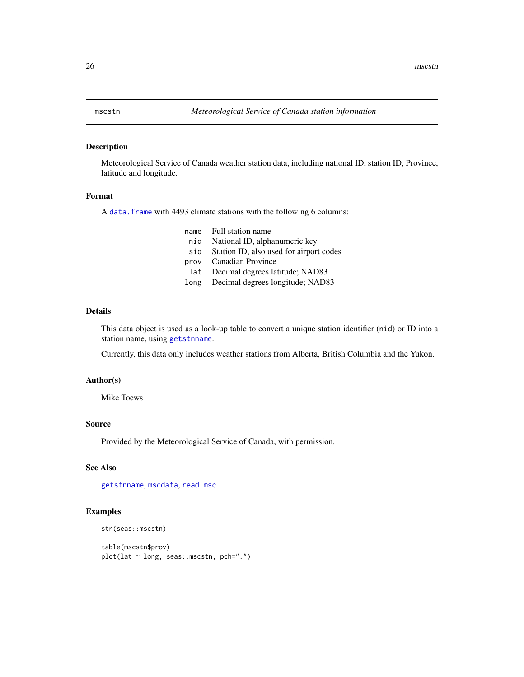# <span id="page-25-1"></span><span id="page-25-0"></span>Description

Meteorological Service of Canada weather station data, including national ID, station ID, Province, latitude and longitude.

#### Format

A [data.frame](#page-0-0) with 4493 climate stations with the following 6 columns:

name Full station name

- nid National ID, alphanumeric key
- sid Station ID, also used for airport codes
- prov Canadian Province
- lat Decimal degrees latitude; NAD83
- long Decimal degrees longitude; NAD83

# Details

This data object is used as a look-up table to convert a unique station identifier (nid) or ID into a station name, using [getstnname](#page-8-1).

Currently, this data only includes weather stations from Alberta, British Columbia and the Yukon.

#### Author(s)

Mike Toews

#### Source

Provided by the Meteorological Service of Canada, with permission.

# See Also

[getstnname](#page-8-1), [mscdata](#page-22-1), [read.msc](#page-31-1)

#### Examples

```
str(seas::mscstn)
```
table(mscstn\$prov) plot(lat ~ long, seas::mscstn, pch=".")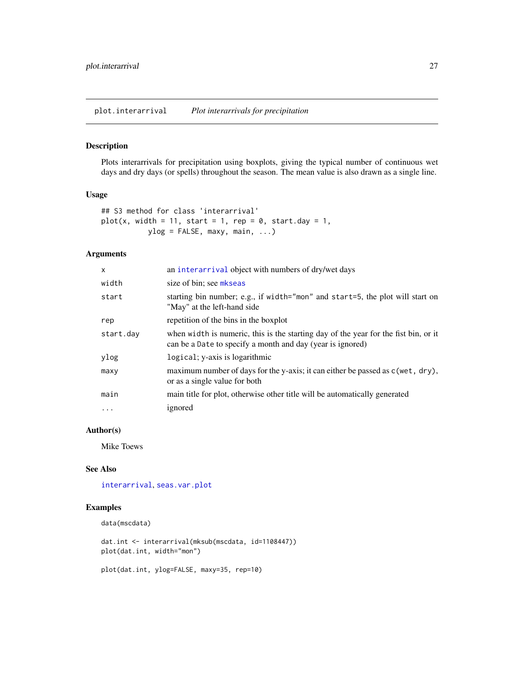<span id="page-26-1"></span><span id="page-26-0"></span>plot.interarrival *Plot interarrivals for precipitation*

# Description

Plots interarrivals for precipitation using boxplots, giving the typical number of continuous wet days and dry days (or spells) throughout the season. The mean value is also drawn as a single line.

#### Usage

```
## S3 method for class 'interarrival'
plot(x, width = 11, start = 1, rep = 0, start.day = 1,
          ylog = FALKSE, maxy, main, ...)
```
# Arguments

| $\times$  | an interarrival object with numbers of dry/wet days                                                                                               |
|-----------|---------------------------------------------------------------------------------------------------------------------------------------------------|
| width     | size of bin; see mkseas                                                                                                                           |
| start     | starting bin number; e.g., if width="mon" and start=5, the plot will start on<br>"May" at the left-hand side                                      |
| rep       | repetition of the bins in the boxplot                                                                                                             |
| start.day | when width is numeric, this is the starting day of the year for the fist bin, or it<br>can be a Date to specify a month and day (year is ignored) |
| ylog      | logical; y-axis is logarithmic                                                                                                                    |
| maxy      | maximum number of days for the y-axis; it can either be passed as c(wet, dry),<br>or as a single value for both                                   |
| main      | main title for plot, otherwise other title will be automatically generated                                                                        |
| $\ddotsc$ | ignored                                                                                                                                           |

## Author(s)

Mike Toews

#### See Also

[interarrival](#page-12-1), [seas.var.plot](#page-44-1)

# Examples

```
data(mscdata)
```
dat.int <- interarrival(mksub(mscdata, id=1108447)) plot(dat.int, width="mon")

plot(dat.int, ylog=FALSE, maxy=35, rep=10)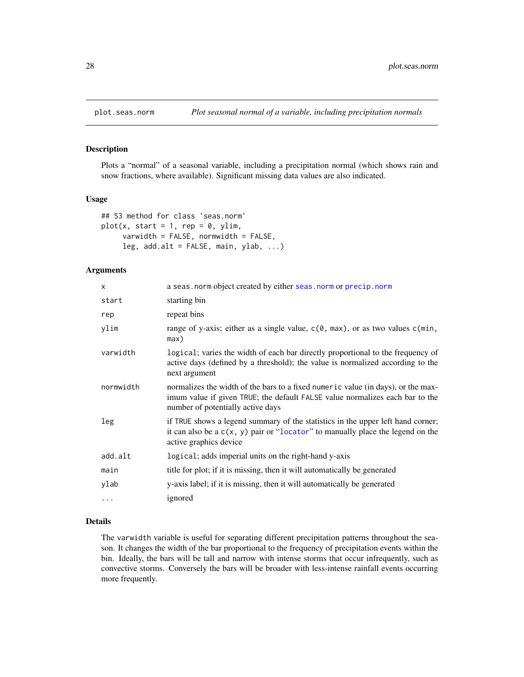<span id="page-27-1"></span><span id="page-27-0"></span>

#### <span id="page-27-2"></span>Description

Plots a "normal" of a seasonal variable, including a precipitation normal (which shows rain and snow fractions, where available). Significant missing data values are also indicated.

#### Usage

```
## S3 method for class 'seas.norm'
plot(x, start = 1, rep = 0, ylim,varwidth = FALSE, normwidth = FALSE,
     leg, add.alt = FALSE, main, ylab, ...)
```
#### Arguments

| $\times$  | a seas. norm object created by either seas. norm or precip. norm                                                                                                                                      |
|-----------|-------------------------------------------------------------------------------------------------------------------------------------------------------------------------------------------------------|
| start     | starting bin                                                                                                                                                                                          |
| rep       | repeat bins                                                                                                                                                                                           |
| ylim      | range of y-axis; either as a single value, $c(\theta, \text{max})$ , or as two values $c(\text{min}, \text{max})$<br>max)                                                                             |
| varwidth  | logical; varies the width of each bar directly proportional to the frequency of<br>active days (defined by a threshold); the value is normalized according to the<br>next argument                    |
| normwidth | normalizes the width of the bars to a fixed numeric value (in days), or the max-<br>imum value if given TRUE; the default FALSE value normalizes each bar to the<br>number of potentially active days |
| leg       | if TRUE shows a legend summary of the statistics in the upper left hand corner;<br>it can also be a $c(x, y)$ pair or "locator" to manually place the legend on the<br>active graphics device         |
| add.alt   | logical; adds imperial units on the right-hand y-axis                                                                                                                                                 |
| main      | title for plot; if it is missing, then it will automatically be generated                                                                                                                             |
| ylab      | y-axis label; if it is missing, then it will automatically be generated                                                                                                                               |
| $\cdots$  | ignored                                                                                                                                                                                               |

# Details

The varwidth variable is useful for separating different precipitation patterns throughout the season. It changes the width of the bar proportional to the frequency of precipitation events within the bin. Ideally, the bars will be tall and narrow with intense storms that occur infrequently, such as convective storms. Conversely the bars will be broader with less-intense rainfall events occurring more frequently.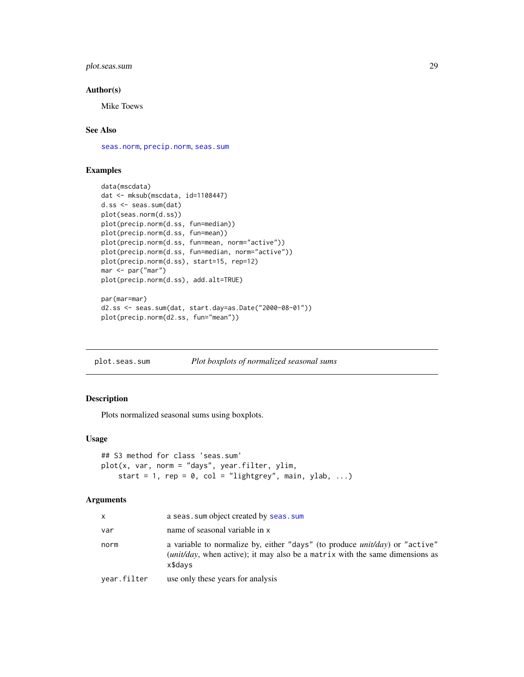# <span id="page-28-0"></span>plot.seas.sum 29

#### Author(s)

Mike Toews

# See Also

[seas.norm](#page-37-1), [precip.norm](#page-37-2), [seas.sum](#page-40-1)

# Examples

```
data(mscdata)
dat <- mksub(mscdata, id=1108447)
d.ss <- seas.sum(dat)
plot(seas.norm(d.ss))
plot(precip.norm(d.ss, fun=median))
plot(precip.norm(d.ss, fun=mean))
plot(precip.norm(d.ss, fun=mean, norm="active"))
plot(precip.norm(d.ss, fun=median, norm="active"))
plot(precip.norm(d.ss), start=15, rep=12)
mar <- par("mar")
plot(precip.norm(d.ss), add.alt=TRUE)
par(mar=mar)
d2.ss <- seas.sum(dat, start.day=as.Date("2000-08-01"))
```

```
plot(precip.norm(d2.ss, fun="mean"))
```
<span id="page-28-1"></span>plot.seas.sum *Plot boxplots of normalized seasonal sums*

#### Description

Plots normalized seasonal sums using boxplots.

# Usage

```
## S3 method for class 'seas.sum'
plot(x, var, norm = "days", year.filter, ylim,
    start = 1, rep = 0, col = "lightgrey", main, ylab, ...)
```
#### Arguments

| X           | a seas. sum object created by seas. sum                                                                                                                                          |
|-------------|----------------------------------------------------------------------------------------------------------------------------------------------------------------------------------|
| var         | name of seasonal variable in x                                                                                                                                                   |
| norm        | a variable to normalize by, either "days" (to produce $unit/day$ ) or "active"<br><i>(unit/day, when active); it may also be a matrix with the same dimensions as</i><br>x\$days |
| year.filter | use only these years for analysis                                                                                                                                                |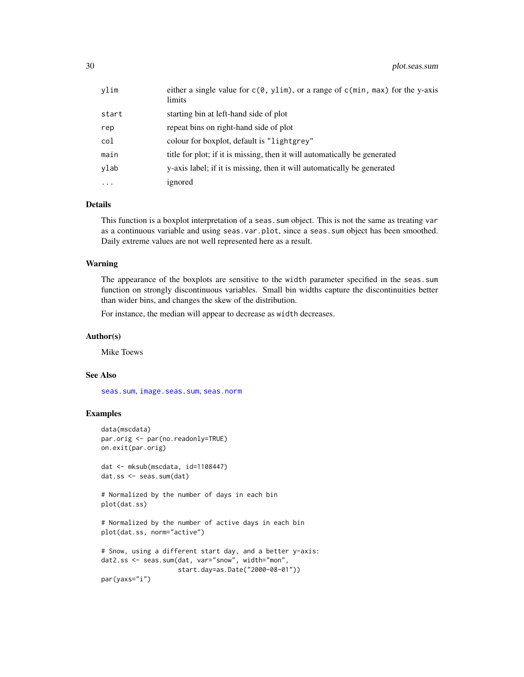<span id="page-29-0"></span>

| vlim      | either a single value for $c(\theta, y\text{lim})$ , or a range of $c(\text{min}, \text{max})$ for the y-axis<br>limits |
|-----------|-------------------------------------------------------------------------------------------------------------------------|
| start     | starting bin at left-hand side of plot                                                                                  |
| rep       | repeat bins on right-hand side of plot                                                                                  |
| col       | colour for boxplot, default is "lightgrey"                                                                              |
| main      | title for plot; if it is missing, then it will automatically be generated                                               |
| ylab      | v-axis label; if it is missing, then it will automatically be generated                                                 |
| $\ddotsc$ | ignored                                                                                                                 |

# **Details**

This function is a boxplot interpretation of a seas. sum object. This is not the same as treating var as a continuous variable and using seas.var.plot, since a seas.sum object has been smoothed. Daily extreme values are not well represented here as a result.

#### Warning

The appearance of the boxplots are sensitive to the width parameter specified in the seas.sum function on strongly discontinuous variables. Small bin widths capture the discontinuities better than wider bins, and changes the skew of the distribution.

For instance, the median will appear to decrease as width decreases.

#### Author(s)

Mike Toews

#### See Also

[seas.sum](#page-40-1), [image.seas.sum](#page-10-1), [seas.norm](#page-37-1)

# Examples

```
data(mscdata)
par.orig <- par(no.readonly=TRUE)
on.exit(par.orig)
dat <- mksub(mscdata, id=1108447)
dat.ss <- seas.sum(dat)
# Normalized by the number of days in each bin
plot(dat.ss)
# Normalized by the number of active days in each bin
plot(dat.ss, norm="active")
# Snow, using a different start day, and a better y-axis:
dat2.ss <- seas.sum(dat, var="snow", width="mon",
                    start.day=as.Date("2000-08-01"))
par(yaxs="i")
```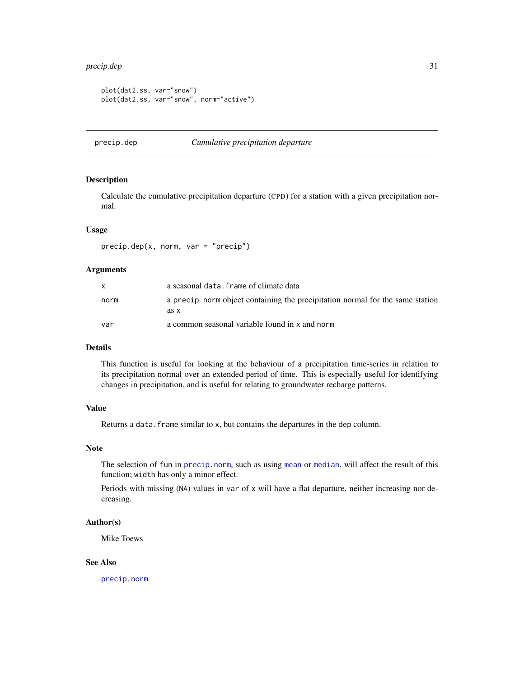# <span id="page-30-0"></span>precip.dep 31

```
plot(dat2.ss, var="snow")
plot(dat2.ss, var="snow", norm="active")
```
# <span id="page-30-1"></span>precip.dep *Cumulative precipitation departure*

# Description

Calculate the cumulative precipitation departure (CPD) for a station with a given precipitation normal.

#### Usage

precip.dep(x, norm, var = "precip")

# Arguments

| X    | a seasonal data. frame of climate data                                                |
|------|---------------------------------------------------------------------------------------|
| norm | a precip norm object containing the precipitation normal for the same station<br>as x |
| var  | a common seasonal variable found in x and norm                                        |

# Details

This function is useful for looking at the behaviour of a precipitation time-series in relation to its precipitation normal over an extended period of time. This is especially useful for identifying changes in precipitation, and is useful for relating to groundwater recharge patterns.

#### Value

Returns a data. frame similar to x, but contains the departures in the dep column.

#### Note

The selection of fun in [precip.norm](#page-37-2), such as using [mean](#page-0-0) or [median](#page-0-0), will affect the result of this function; width has only a minor effect.

Periods with missing (NA) values in var of x will have a flat departure, neither increasing nor decreasing.

# Author(s)

Mike Toews

# See Also

[precip.norm](#page-37-2)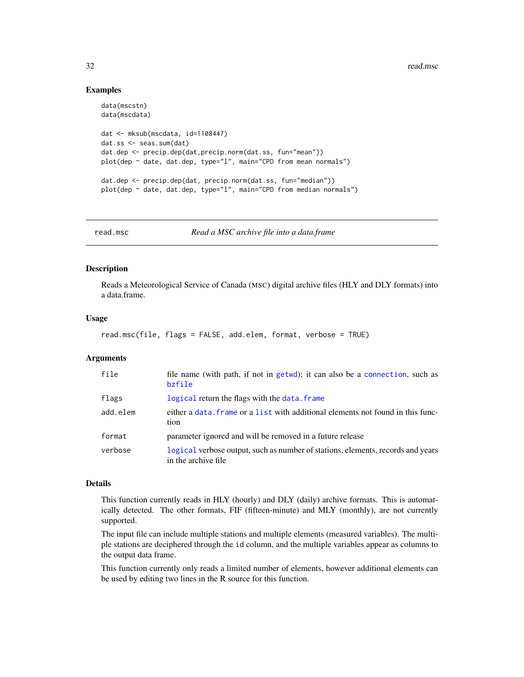# Examples

```
data(mscstn)
data(mscdata)
dat <- mksub(mscdata, id=1108447)
dat.ss <- seas.sum(dat)
dat.dep <- precip.dep(dat,precip.norm(dat.ss, fun="mean"))
plot(dep ~ date, dat.dep, type="l", main="CPD from mean normals")
dat.dep <- precip.dep(dat, precip.norm(dat.ss, fun="median"))
plot(dep ~ date, dat.dep, type="l", main="CPD from median normals")
```
<span id="page-31-1"></span>

read.msc *Read a MSC archive file into a data.frame*

#### Description

Reads a Meteorological Service of Canada (MSC) digital archive files (HLY and DLY formats) into a data.frame.

#### Usage

```
read.msc(file, flags = FALSE, add.elem, format, verbose = TRUE)
```
# Arguments

| file     | file name (with path, if not in getwd); it can also be a connection, such as<br>bzfile                  |
|----------|---------------------------------------------------------------------------------------------------------|
| flags    | logical return the flags with the data. frame                                                           |
| add.elem | either a data. Frame or a list with additional elements not found in this func-<br>tion                 |
| format   | parameter ignored and will be removed in a future release                                               |
| verbose  | logical verbose output, such as number of stations, elements, records and years<br>in the archive file. |

# Details

This function currently reads in HLY (hourly) and DLY (daily) archive formats. This is automatically detected. The other formats, FIF (fifteen-minute) and MLY (monthly), are not currently supported.

The input file can include multiple stations and multiple elements (measured variables). The multiple stations are deciphered through the id column, and the multiple variables appear as columns to the output data frame.

This function currently only reads a limited number of elements, however additional elements can be used by editing two lines in the R source for this function.

<span id="page-31-0"></span>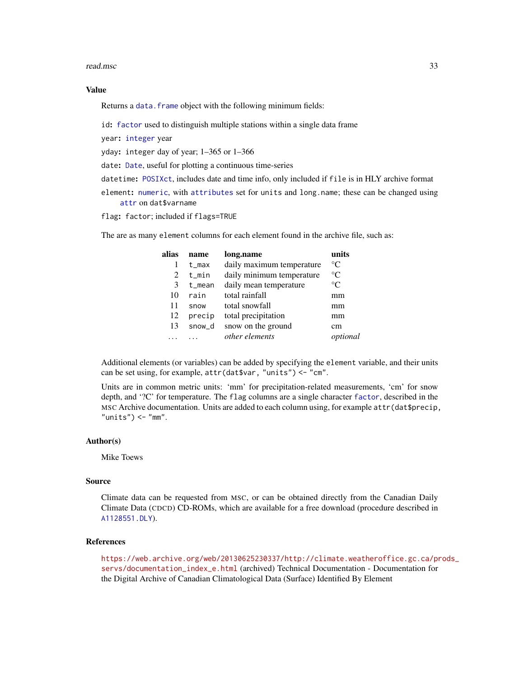#### <span id="page-32-0"></span>read.msc 33

#### Value

Returns a data. frame object with the following minimum fields:

id: [factor](#page-0-0) used to distinguish multiple stations within a single data frame

year: [integer](#page-0-0) year

yday: integer day of year; 1–365 or 1–366

date: [Date](#page-0-0), useful for plotting a continuous time-series

datetime: [POSIXct](#page-0-0), includes date and time info, only included if file is in HLY archive format

element: [numeric](#page-0-0), with [attributes](#page-0-0) set for units and long.name; these can be changed using [attr](#page-0-0) on dat\$varname

flag: factor; included if flags=TRUE

The are as many element columns for each element found in the archive file, such as:

| alias | name   | long.name                 | units       |
|-------|--------|---------------------------|-------------|
|       | t max  | daily maximum temperature | $^{\circ}C$ |
| 2     | t min  | daily minimum temperature | $^{\circ}C$ |
| 3     | t mean | daily mean temperature    | $^{\circ}C$ |
| 10    | rain   | total rainfall            | mm          |
| 11    | snow   | total snowfall            | mm          |
| 12    | precip | total precipitation       | mm          |
| 13    | snow d | snow on the ground        | cm          |
|       |        | other elements            | optional    |

Additional elements (or variables) can be added by specifying the element variable, and their units can be set using, for example, attr(dat\$var, "units") <- "cm".

Units are in common metric units: 'mm' for precipitation-related measurements, 'cm' for snow depth, and '?C' for temperature. The flag columns are a single character [factor](#page-0-0), described in the MSC Archive documentation. Units are added to each column using, for example attr(dat\$precip,  $"units") < -"mm".$ 

#### Author(s)

Mike Toews

#### Source

Climate data can be requested from MSC, or can be obtained directly from the Canadian Daily Climate Data (CDCD) CD-ROMs, which are available for a free download (procedure described in [A1128551.DLY](#page-2-1)).

# References

[https://web.archive.org/web/20130625230337/http://climate.weatheroffice.gc.ca/pr](https://web.archive.org/web/20130625230337/http://climate.weatheroffice.gc.ca/prods_servs/documentation_index_e.html)ods\_ [servs/documentation\\_index\\_e.html](https://web.archive.org/web/20130625230337/http://climate.weatheroffice.gc.ca/prods_servs/documentation_index_e.html) (archived) Technical Documentation - Documentation for the Digital Archive of Canadian Climatological Data (Surface) Identified By Element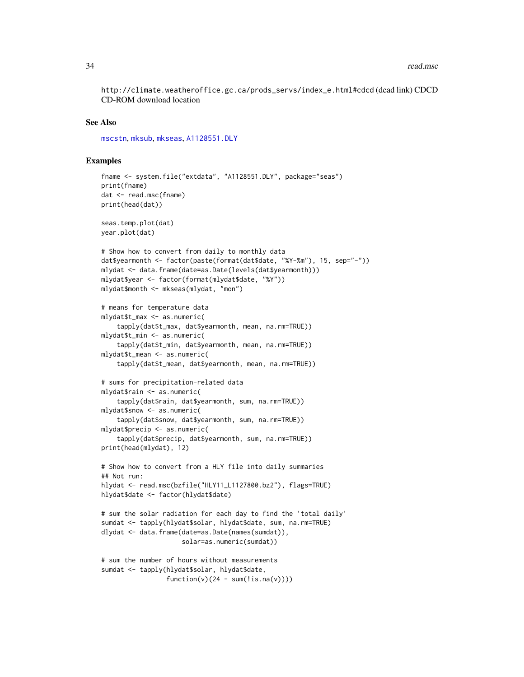<span id="page-33-0"></span>http://climate.weatheroffice.gc.ca/prods\_servs/index\_e.html#cdcd (dead link) CDCD CD-ROM download location

#### See Also

[mscstn](#page-25-1), [mksub](#page-21-1), [mkseas](#page-17-1), [A1128551.DLY](#page-2-1)

#### Examples

```
fname <- system.file("extdata", "A1128551.DLY", package="seas")
print(fname)
dat <- read.msc(fname)
print(head(dat))
seas.temp.plot(dat)
year.plot(dat)
# Show how to convert from daily to monthly data
dat$yearmonth <- factor(paste(format(dat$date, "%Y-%m"), 15, sep="-"))
mlydat <- data.frame(date=as.Date(levels(dat$yearmonth)))
mlydat$year <- factor(format(mlydat$date, "%Y"))
mlydat$month <- mkseas(mlydat, "mon")
# means for temperature data
mlydat$t_max <- as.numeric(
    tapply(dat$t_max, dat$yearmonth, mean, na.rm=TRUE))
mlydat$t_min <- as.numeric(
    tapply(dat$t_min, dat$yearmonth, mean, na.rm=TRUE))
mlydat$t_mean <- as.numeric(
    tapply(dat$t_mean, dat$yearmonth, mean, na.rm=TRUE))
# sums for precipitation-related data
mlydat$rain <- as.numeric(
    tapply(dat$rain, dat$yearmonth, sum, na.rm=TRUE))
mlydat$snow <- as.numeric(
    tapply(dat$snow, dat$yearmonth, sum, na.rm=TRUE))
mlydat$precip <- as.numeric(
    tapply(dat$precip, dat$yearmonth, sum, na.rm=TRUE))
print(head(mlydat), 12)
# Show how to convert from a HLY file into daily summaries
## Not run:
hlydat <- read.msc(bzfile("HLY11_L1127800.bz2"), flags=TRUE)
hlydat$date <- factor(hlydat$date)
# sum the solar radiation for each day to find the 'total daily'
sumdat <- tapply(hlydat$solar, hlydat$date, sum, na.rm=TRUE)
dlydat <- data.frame(date=as.Date(names(sumdat)),
                     solar=as.numeric(sumdat))
# sum the number of hours without measurements
sumdat <- tapply(hlydat$solar, hlydat$date,
                 function(v)(24 - sum(!is.na(v))))
```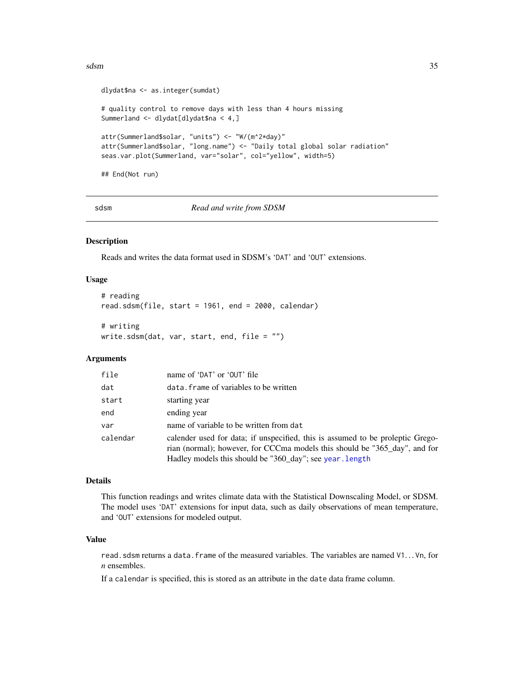#### <span id="page-34-0"></span>sdsm 35

```
dlydat$na <- as.integer(sumdat)
# quality control to remove days with less than 4 hours missing
Summerland <- dlydat[dlydat$na < 4,]
attr(Summerland$solar, "units") <- "W/(m^2*day)"
attr(Summerland$solar, "long.name") <- "Daily total global solar radiation"
seas.var.plot(Summerland, var="solar", col="yellow", width=5)
## End(Not run)
```
sdsm *Read and write from SDSM*

#### <span id="page-34-1"></span>Description

Reads and writes the data format used in SDSM's 'DAT' and 'OUT' extensions.

#### Usage

```
# reading
read.sdsm(file, start = 1961, end = 2000, calendar)
```

```
# writing
write.sdsm(data, var, start, end, file = <math>""</math>)
```
#### Arguments

| file     | name of 'DAT' or 'OUT' file                                                                                                                                                                                              |
|----------|--------------------------------------------------------------------------------------------------------------------------------------------------------------------------------------------------------------------------|
| dat      | data. frame of variables to be written                                                                                                                                                                                   |
| start    | starting year                                                                                                                                                                                                            |
| end      | ending year                                                                                                                                                                                                              |
| var      | name of variable to be written from dat                                                                                                                                                                                  |
| calendar | calender used for data; if unspecified, this is assumed to be proleptic Grego-<br>rian (normal); however, for CCCma models this should be "365_day", and for<br>Hadley models this should be "360_day"; see year. length |

#### Details

This function readings and writes climate data with the Statistical Downscaling Model, or SDSM. The model uses 'DAT' extensions for input data, such as daily observations of mean temperature, and 'OUT' extensions for modeled output.

#### Value

read.sdsm returns a data.frame of the measured variables. The variables are named V1. . . Vn, for *n* ensembles.

If a calendar is specified, this is stored as an attribute in the date data frame column.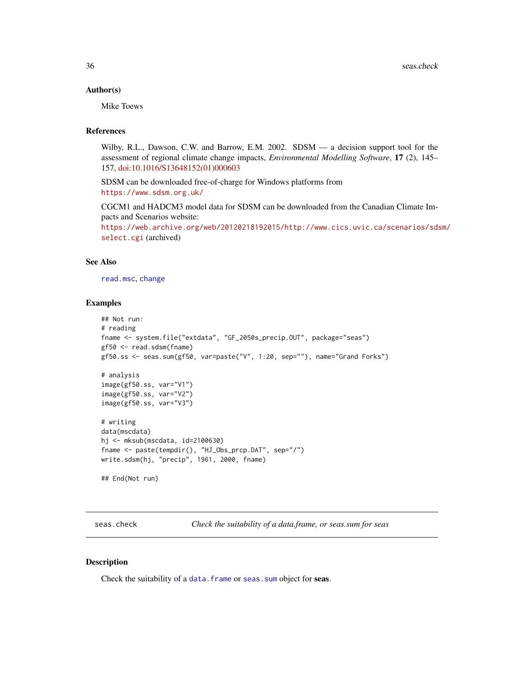#### <span id="page-35-0"></span>Author(s)

Mike Toews

#### References

Wilby, R.L., Dawson, C.W. and Barrow, E.M. 2002. SDSM — a decision support tool for the assessment of regional climate change impacts, *Environmental Modelling Software*, 17 (2), 145– 157, [doi:10.1016/S13648152\(01\)000603](https://doi.org/10.1016/S1364-8152%2801%2900060-3)

SDSM can be downloaded free-of-charge for Windows platforms from <https://www.sdsm.org.uk/>

CGCM1 and HADCM3 model data for SDSM can be downloaded from the Canadian Climate Impacts and Scenarios website:

[https://web.archive.org/web/20120218192015/http://www.cics.uvic.ca/scenarios/sds](https://web.archive.org/web/20120218192015/http://www.cics.uvic.ca/scenarios/sdsm/select.cgi)m/ [select.cgi](https://web.archive.org/web/20120218192015/http://www.cics.uvic.ca/scenarios/sdsm/select.cgi) (archived)

#### See Also

[read.msc](#page-31-1), [change](#page-4-1)

#### Examples

```
## Not run:
# reading
fname <- system.file("extdata", "GF_2050s_precip.OUT", package="seas")
gf50 <- read.sdsm(fname)
gf50.ss <- seas.sum(gf50, var=paste("V", 1:20, sep=""), name="Grand Forks")
# analysis
image(gf50.ss, var="V1")
image(gf50.ss, var="V2")
image(gf50.ss, var="V3")
# writing
data(mscdata)
hj <- mksub(mscdata, id=2100630)
fname <- paste(tempdir(), "HJ_Obs_prcp.DAT", sep="/")
write.sdsm(hj, "precip", 1961, 2000, fname)
## End(Not run)
```
seas.check *Check the suitability of a data.frame, or seas.sum for seas*

#### Description

Check the suitability of a [data.frame](#page-0-0) or [seas.sum](#page-40-1) object for seas.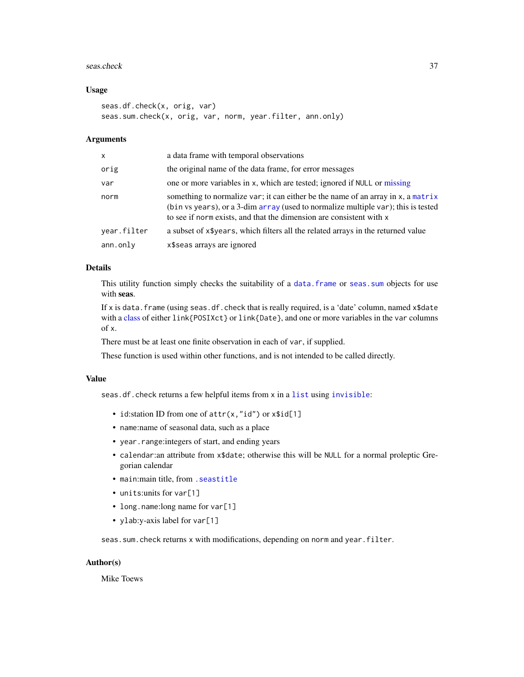#### <span id="page-36-0"></span>seas.check 37

#### Usage

```
seas.df.check(x, orig, var)
seas.sum.check(x, orig, var, norm, year.filter, ann.only)
```
#### Arguments

| X           | a data frame with temporal observations                                                                                                                                                                                                      |
|-------------|----------------------------------------------------------------------------------------------------------------------------------------------------------------------------------------------------------------------------------------------|
| orig        | the original name of the data frame, for error messages                                                                                                                                                                                      |
| var         | one or more variables in x, which are tested; ignored if NULL or missing                                                                                                                                                                     |
| norm        | something to normalize var; it can either be the name of an array in x, a matrix<br>(bin vs years), or a 3-dim array (used to normalize multiple var); this is tested<br>to see if norm exists, and that the dimension are consistent with x |
| year.filter | a subset of x\$years, which filters all the related arrays in the returned value                                                                                                                                                             |
| ann.only    | x\$seas arrays are ignored                                                                                                                                                                                                                   |
|             |                                                                                                                                                                                                                                              |

# Details

This utility function simply checks the suitability of a data. frame or seas. sum objects for use with seas.

If x is data. frame (using seas.df.check that is really required, is a 'date' column, named  $x$ \$date with a [class](#page-0-0) of either link{POSIXct} or link{Date}, and one or more variables in the var columns of x.

There must be at least one finite observation in each of var, if supplied.

These function is used within other functions, and is not intended to be called directly.

#### Value

seas.df.check returns a few helpful items from x in a [list](#page-0-0) using [invisible](#page-0-0):

- id: station ID from one of  $attr(x, "id")$  or  $x$id[1]$
- name:name of seasonal data, such as a place
- year.range:integers of start, and ending years
- calendar:an attribute from x\$date; otherwise this will be NULL for a normal proleptic Gregorian calendar
- main:main title, from [.seastitle](#page-9-1)
- units:units for var[1]
- long.name: long name for var[1]
- ylab:y-axis label for var[1]

seas.sum.check returns x with modifications, depending on norm and year.filter.

# Author(s)

Mike Toews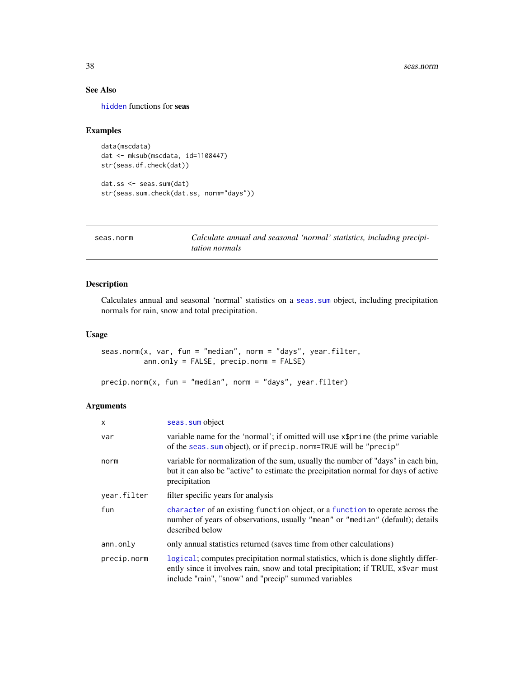# <span id="page-37-0"></span>See Also

[hidden](#page-9-2) functions for seas

#### Examples

```
data(mscdata)
dat <- mksub(mscdata, id=1108447)
str(seas.df.check(dat))
dat.ss <- seas.sum(dat)
```

```
str(seas.sum.check(dat.ss, norm="days"))
```
<span id="page-37-1"></span>seas.norm *Calculate annual and seasonal 'normal' statistics, including precipitation normals*

# <span id="page-37-2"></span>Description

Calculates annual and seasonal 'normal' statistics on a [seas.sum](#page-40-1) object, including precipitation normals for rain, snow and total precipitation.

# Usage

```
seas.norm(x, var, fun = "median", norm = "days", year.filter,
         ann.only = FALSE, precip.norm = FALSE)
```
precip.norm(x, fun = "median", norm = "days", year.filter)

# Arguments

| X           | seas. sum object                                                                                                                                                                                                              |
|-------------|-------------------------------------------------------------------------------------------------------------------------------------------------------------------------------------------------------------------------------|
| var         | variable name for the 'normal'; if omitted will use x\$prime (the prime variable<br>of the seas. sum object), or if precip. norm=TRUE will be "precip"                                                                        |
| norm        | variable for normalization of the sum, usually the number of "days" in each bin,<br>but it can also be "active" to estimate the precipitation normal for days of active<br>precipitation                                      |
| year.filter | filter specific years for analysis                                                                                                                                                                                            |
| fun         | character of an existing function object, or a function to operate across the<br>number of years of observations, usually "mean" or "median" (default); details<br>described below                                            |
| ann.only    | only annual statistics returned (saves time from other calculations)                                                                                                                                                          |
| precip.norm | logical; computes precipitation normal statistics, which is done slightly differ-<br>ently since it involves rain, snow and total precipitation; if TRUE, x\$var must<br>include "rain", "snow" and "precip" summed variables |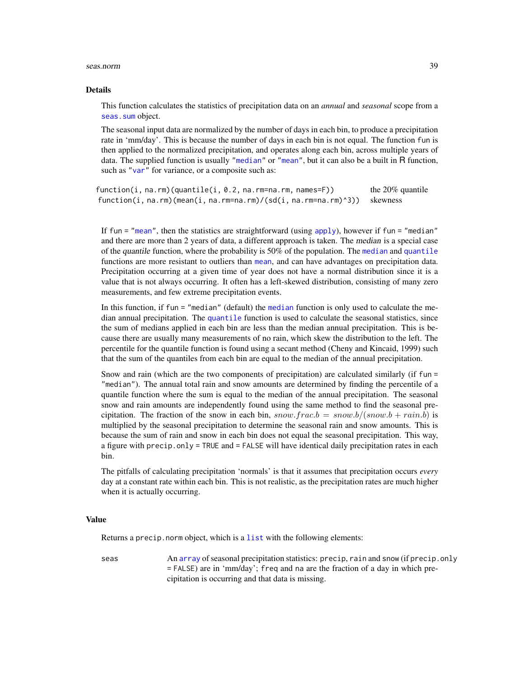#### <span id="page-38-0"></span>seas.norm 39

#### Details

This function calculates the statistics of precipitation data on an *annual* and *seasonal* scope from a seas. sum object.

The seasonal input data are normalized by the number of days in each bin, to produce a precipitation rate in 'mm/day'. This is because the number of days in each bin is not equal. The function fun is then applied to the normalized precipitation, and operates along each bin, across multiple years of data. The supplied function is usually ["median"](#page-0-0) or ["mean"](#page-0-0), but it can also be a built in R function, such as ["var"](#page-0-0) for variance, or a composite such as:

function(i, na.rm)(quantile(i,  $0.2$ , na.rm=na.rm, names=F)) the 20% quantile function(i, na.rm)(mean(i, na.rm=na.rm)/(sd(i, na.rm=na.rm)^3)) skewness

If fun  $=$  ["mean"](#page-0-0), then the statistics are straightforward (using [apply](#page-0-0)), however if fun  $=$  "median" and there are more than 2 years of data, a different approach is taken. The median is a special case of the quantile function, where the probability is 50% of the population. The [median](#page-0-0) and [quantile](#page-0-0) functions are more resistant to outliers than [mean](#page-0-0), and can have advantages on precipitation data. Precipitation occurring at a given time of year does not have a normal distribution since it is a value that is not always occurring. It often has a left-skewed distribution, consisting of many zero measurements, and few extreme precipitation events.

In this function, if fun = "median" (default) the [median](#page-0-0) function is only used to calculate the median annual precipitation. The [quantile](#page-0-0) function is used to calculate the seasonal statistics, since the sum of medians applied in each bin are less than the median annual precipitation. This is because there are usually many measurements of no rain, which skew the distribution to the left. The percentile for the quantile function is found using a secant method (Cheny and Kincaid, 1999) such that the sum of the quantiles from each bin are equal to the median of the annual precipitation.

Snow and rain (which are the two components of precipitation) are calculated similarly (if fun = "median"). The annual total rain and snow amounts are determined by finding the percentile of a quantile function where the sum is equal to the median of the annual precipitation. The seasonal snow and rain amounts are independently found using the same method to find the seasonal precipitation. The fraction of the snow in each bin,  $snow.frac.b = snow.b/(snow.b + rain.b)$  is multiplied by the seasonal precipitation to determine the seasonal rain and snow amounts. This is because the sum of rain and snow in each bin does not equal the seasonal precipitation. This way, a figure with precip.only = TRUE and = FALSE will have identical daily precipitation rates in each bin.

The pitfalls of calculating precipitation 'normals' is that it assumes that precipitation occurs *every* day at a constant rate within each bin. This is not realistic, as the precipitation rates are much higher when it is actually occurring.

#### Value

Returns a precip.norm object, which is a [list](#page-0-0) with the following elements:

seas An [array](#page-0-0) of seasonal precipitation statistics: precip, rain and snow (if precip.only = FALSE) are in 'mm/day'; freq and na are the fraction of a day in which precipitation is occurring and that data is missing.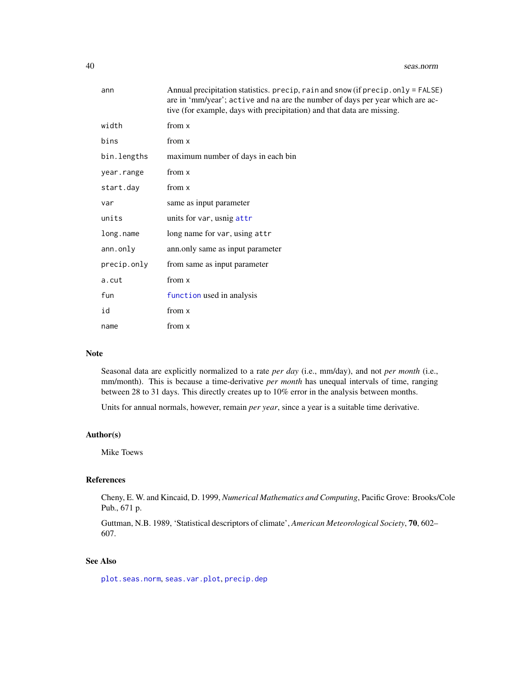<span id="page-39-0"></span>

| ann         | Annual precipitation statistics. precip, rain and snow (if precip. only = FALSE)<br>are in 'mm/year'; active and na are the number of days per year which are ac-<br>tive (for example, days with precipitation) and that data are missing. |
|-------------|---------------------------------------------------------------------------------------------------------------------------------------------------------------------------------------------------------------------------------------------|
| width       | from x                                                                                                                                                                                                                                      |
| bins        | from x                                                                                                                                                                                                                                      |
| bin.lengths | maximum number of days in each bin                                                                                                                                                                                                          |
| year.range  | from x                                                                                                                                                                                                                                      |
| start.day   | from x                                                                                                                                                                                                                                      |
| var         | same as input parameter                                                                                                                                                                                                                     |
| units       | units for var, usnig attr                                                                                                                                                                                                                   |
| long.name   | long name for var, using attr                                                                                                                                                                                                               |
| ann.only    | ann.only same as input parameter                                                                                                                                                                                                            |
| precip.only | from same as input parameter                                                                                                                                                                                                                |
| a.cut       | from x                                                                                                                                                                                                                                      |
| fun         | function used in analysis                                                                                                                                                                                                                   |
| id          | from x                                                                                                                                                                                                                                      |
| name        | from x                                                                                                                                                                                                                                      |

#### Note

Seasonal data are explicitly normalized to a rate *per day* (i.e., mm/day), and not *per month* (i.e., mm/month). This is because a time-derivative *per month* has unequal intervals of time, ranging between 28 to 31 days. This directly creates up to 10% error in the analysis between months.

Units for annual normals, however, remain *per year*, since a year is a suitable time derivative.

# Author(s)

Mike Toews

# References

Cheny, E. W. and Kincaid, D. 1999, *Numerical Mathematics and Computing*, Pacific Grove: Brooks/Cole Pub., 671 p.

Guttman, N.B. 1989, 'Statistical descriptors of climate', *American Meteorological Society*, 70, 602– 607.

# See Also

[plot.seas.norm](#page-27-1), [seas.var.plot](#page-44-1), [precip.dep](#page-30-1)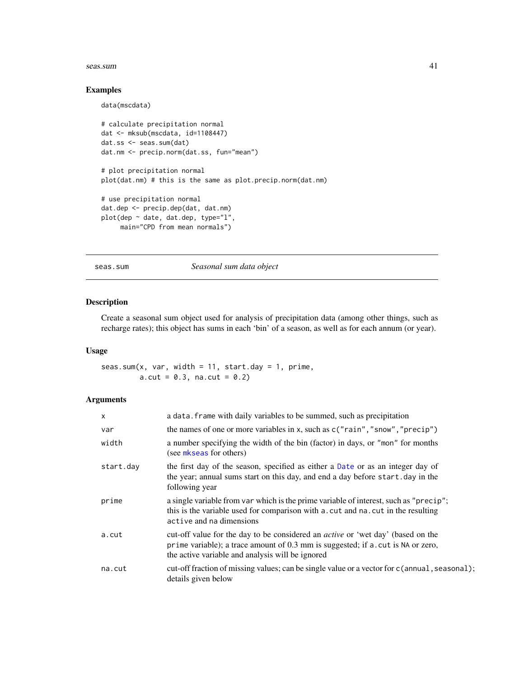#### <span id="page-40-0"></span>seas.sum 41

#### Examples

data(mscdata)

```
# calculate precipitation normal
dat <- mksub(mscdata, id=1108447)
dat.ss <- seas.sum(dat)
dat.nm <- precip.norm(dat.ss, fun="mean")
# plot precipitation normal
plot(dat.nm) # this is the same as plot.precip.norm(dat.nm)
# use precipitation normal
dat.dep <- precip.dep(dat, dat.nm)
plot(dep ~ date, dat.dep, type="l",
    main="CPD from mean normals")
```
<span id="page-40-1"></span>seas.sum *Seasonal sum data object*

# Description

Create a seasonal sum object used for analysis of precipitation data (among other things, such as recharge rates); this object has sums in each 'bin' of a season, as well as for each annum (or year).

# Usage

seas.sum(x, var, width = 11, start.day = 1, prime,  $a.cut = 0.3$ ,  $na.cut = 0.2$ )

# Arguments

| $\mathsf{x}$ | a data. Frame with daily variables to be summed, such as precipitation                                                                                                                                                          |
|--------------|---------------------------------------------------------------------------------------------------------------------------------------------------------------------------------------------------------------------------------|
| var          | the names of one or more variables in x, such as $c("rain", "snow", "precip")$                                                                                                                                                  |
| width        | a number specifying the width of the bin (factor) in days, or "mon" for months<br>(see mkseas for others)                                                                                                                       |
| start.day    | the first day of the season, specified as either a Date or as an integer day of<br>the year; annual sums start on this day, and end a day before start. day in the<br>following year                                            |
| prime        | a single variable from var which is the prime variable of interest, such as "precip";<br>this is the variable used for comparison with a cut and na. cut in the resulting<br>active and na dimensions                           |
| a.cut        | cut-off value for the day to be considered an <i>active</i> or 'wet day' (based on the<br>prime variable); a trace amount of 0.3 mm is suggested; if a . cut is NA or zero,<br>the active variable and analysis will be ignored |
| na.cut       | cut-off fraction of missing values; can be single value or a vector for c(annual, seasonal);<br>details given below                                                                                                             |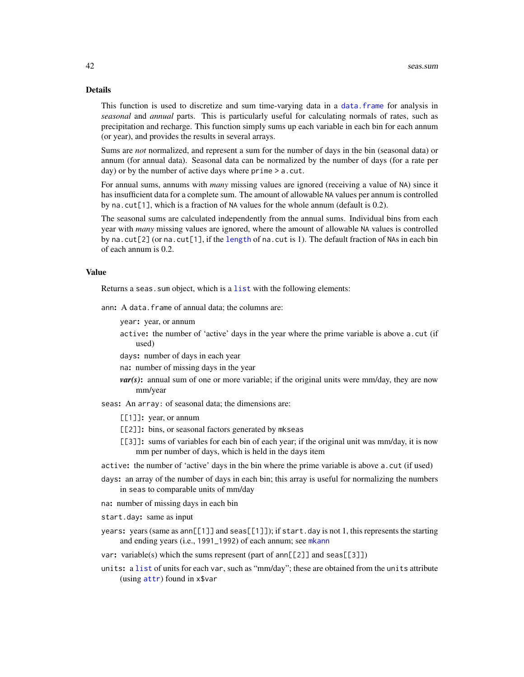#### <span id="page-41-0"></span>Details

This function is used to discretize and sum time-varying data in a [data.frame](#page-0-0) for analysis in *seasonal* and *annual* parts. This is particularly useful for calculating normals of rates, such as precipitation and recharge. This function simply sums up each variable in each bin for each annum (or year), and provides the results in several arrays.

Sums are *not* normalized, and represent a sum for the number of days in the bin (seasonal data) or annum (for annual data). Seasonal data can be normalized by the number of days (for a rate per day) or by the number of active days where prime  $> a$ . cut.

For annual sums, annums with *many* missing values are ignored (receiving a value of NA) since it has insufficient data for a complete sum. The amount of allowable NA values per annum is controlled by na.cut[1], which is a fraction of NA values for the whole annum (default is 0.2).

The seasonal sums are calculated independently from the annual sums. Individual bins from each year with *many* missing values are ignored, where the amount of allowable NA values is controlled by na.cut[2] (or na.cut[1], if the [length](#page-0-0) of na.cut is 1). The default fraction of NAs in each bin of each annum is 0.2.

# Value

Returns a seas. sum object, which is a [list](#page-0-0) with the following elements:

ann: A data.frame of annual data; the columns are:

- year: year, or annum
- active: the number of 'active' days in the year where the prime variable is above a.cut (if used)
- days: number of days in each year
- na: number of missing days in the year
- *var(s)*: annual sum of one or more variable; if the original units were mm/day, they are now mm/year
- seas: An array: of seasonal data; the dimensions are:
	- [[1]]: year, or annum
	- [[2]]: bins, or seasonal factors generated by mkseas
	- [[3]]: sums of variables for each bin of each year; if the original unit was mm/day, it is now mm per number of days, which is held in the days item
- active: the number of 'active' days in the bin where the prime variable is above a.cut (if used)
- days: an array of the number of days in each bin; this array is useful for normalizing the numbers in seas to comparable units of mm/day
- na: number of missing days in each bin
- start.day: same as input
- years: years (same as ann[[1]] and seas[[1]]); if start.day is not 1, this represents the starting and ending years (i.e., 1991\_1992) of each annum; see [mkann](#page-16-1)
- var: variable(s) which the sums represent (part of  $ann[[2]]$  and  $seas[[3]]$ )
- units: a [list](#page-0-0) of units for each var, such as "mm/day"; these are obtained from the units attribute (using [attr](#page-0-0)) found in x\$var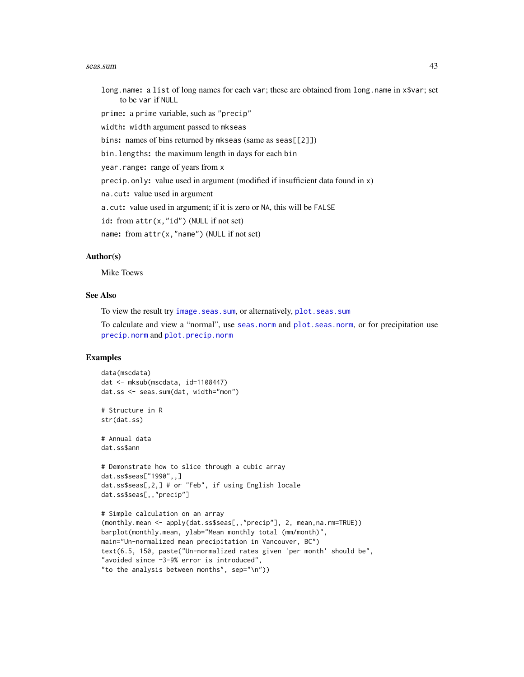#### <span id="page-42-0"></span>seas.sum 43

long.name: a list of long names for each var; these are obtained from long.name in x\$var; set to be var if NULL

prime: a prime variable, such as "precip"

width: width argument passed to mkseas

bins: names of bins returned by mkseas (same as seas[[2]])

bin.lengths: the maximum length in days for each bin

year.range: range of years from x

precip.only: value used in argument (modified if insufficient data found in x)

na.cut: value used in argument

a.cut: value used in argument; if it is zero or NA, this will be FALSE

id: from attr(x,"id") (NULL if not set)

name: from attr(x,"name") (NULL if not set)

#### Author(s)

Mike Toews

# See Also

To view the result try [image.seas.sum](#page-10-1), or alternatively, [plot.seas.sum](#page-28-1)

To calculate and view a "normal", use [seas.norm](#page-37-1) and [plot.seas.norm](#page-27-1), or for precipitation use [precip.norm](#page-37-2) and [plot.precip.norm](#page-27-2)

# Examples

```
data(mscdata)
dat <- mksub(mscdata, id=1108447)
dat.ss <- seas.sum(dat, width="mon")
# Structure in R
str(dat.ss)
# Annual data
dat.ss$ann
# Demonstrate how to slice through a cubic array
dat.ss$seas["1990",,]
dat.ss$seas[,2,] # or "Feb", if using English locale
dat.ss$seas[,,"precip"]
# Simple calculation on an array
(monthly.mean <- apply(dat.ss$seas[,,"precip"], 2, mean,na.rm=TRUE))
barplot(monthly.mean, ylab="Mean monthly total (mm/month)",
main="Un-normalized mean precipitation in Vancouver, BC")
text(6.5, 150, paste("Un-normalized rates given 'per month' should be",
"avoided since ~3-9% error is introduced",
"to the analysis between months", sep="\n"))
```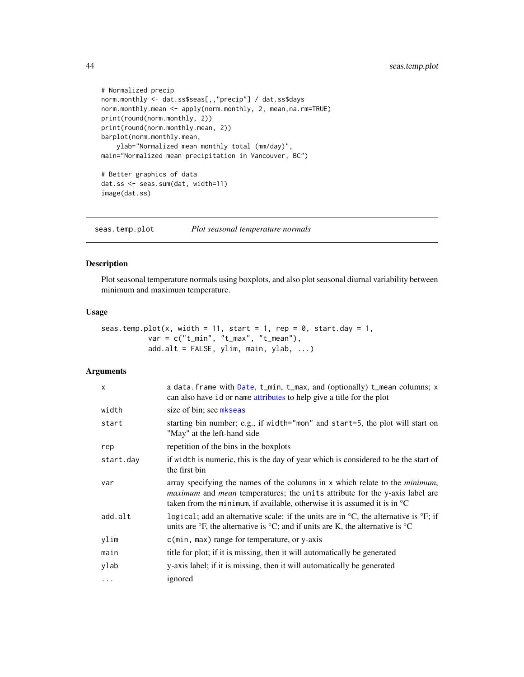```
# Normalized precip
norm.monthly <- dat.ss$seas[,,"precip"] / dat.ss$days
norm.monthly.mean <- apply(norm.monthly, 2, mean,na.rm=TRUE)
print(round(norm.monthly, 2))
print(round(norm.monthly.mean, 2))
barplot(norm.monthly.mean,
    ylab="Normalized mean monthly total (mm/day)",
main="Normalized mean precipitation in Vancouver, BC")
# Better graphics of data
dat.ss <- seas.sum(dat, width=11)
```
image(dat.ss)

<span id="page-43-1"></span>seas.temp.plot *Plot seasonal temperature normals*

# Description

Plot seasonal temperature normals using boxplots, and also plot seasonal diurnal variability between minimum and maximum temperature.

# Usage

```
seas.temp.plot(x, width = 11, start = 1, rep = 0, start.day = 1,
          var = c("t_min", "t_max", "t_mean"),add.alt = FALSE, ylim, main, ylab, ...)
```
# Arguments

| $\times$  | a data. frame with Date, t_min, t_max, and (optionally) t_mean columns; x<br>can also have id or name attributes to help give a title for the plot                                                                                                                        |
|-----------|---------------------------------------------------------------------------------------------------------------------------------------------------------------------------------------------------------------------------------------------------------------------------|
| width     | size of bin; see mkseas                                                                                                                                                                                                                                                   |
| start     | starting bin number; e.g., if width="mon" and start=5, the plot will start on<br>"May" at the left-hand side                                                                                                                                                              |
| rep       | repetition of the bins in the boxplots                                                                                                                                                                                                                                    |
| start.day | if width is numeric, this is the day of year which is considered to be the start of<br>the first bin                                                                                                                                                                      |
| var       | array specifying the names of the columns in $x$ which relate to the <i>minimum</i> ,<br><i>maximum</i> and <i>mean</i> temperatures; the units attribute for the y-axis label are<br>taken from the minimum, if available, otherwise it is assumed it is in $\mathrm{C}$ |
| add.alt   | logical; add an alternative scale: if the units are in $\mathrm{C}$ , the alternative is $\mathrm{F}$ ; if<br>units are $\mathrm{P}F$ , the alternative is $\mathrm{P}C$ ; and if units are K, the alternative is $\mathrm{P}C$                                           |
| ylim      | $c$ (min, max) range for temperature, or y-axis                                                                                                                                                                                                                           |
| main      | title for plot; if it is missing, then it will automatically be generated                                                                                                                                                                                                 |
| ylab      | y-axis label; if it is missing, then it will automatically be generated                                                                                                                                                                                                   |
| $\cdots$  | ignored                                                                                                                                                                                                                                                                   |

<span id="page-43-0"></span>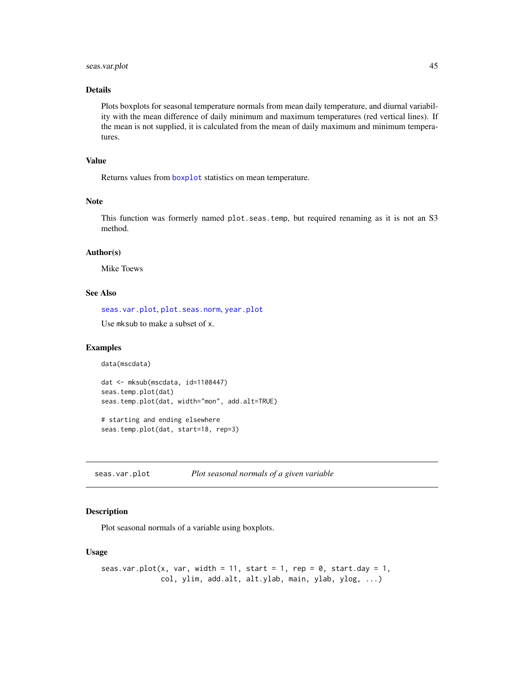# <span id="page-44-0"></span>seas.var.plot 45

# Details

Plots boxplots for seasonal temperature normals from mean daily temperature, and diurnal variability with the mean difference of daily minimum and maximum temperatures (red vertical lines). If the mean is not supplied, it is calculated from the mean of daily maximum and minimum temperatures.

#### Value

Returns values from [boxplot](#page-0-0) statistics on mean temperature.

# Note

This function was formerly named plot.seas.temp, but required renaming as it is not an S3 method.

#### Author(s)

Mike Toews

# See Also

[seas.var.plot](#page-44-1), [plot.seas.norm](#page-27-1), [year.plot](#page-52-1)

Use mksub to make a subset of x.

# Examples

data(mscdata)

```
dat <- mksub(mscdata, id=1108447)
seas.temp.plot(dat)
seas.temp.plot(dat, width="mon", add.alt=TRUE)
```

```
# starting and ending elsewhere
seas.temp.plot(dat, start=18, rep=3)
```
<span id="page-44-1"></span>seas.var.plot *Plot seasonal normals of a given variable*

#### Description

Plot seasonal normals of a variable using boxplots.

#### Usage

```
seas.var.plot(x, var, width = 11, start = 1, rep = 0, start.day = 1,
             col, ylim, add.alt, alt.ylab, main, ylab, ylog, ...)
```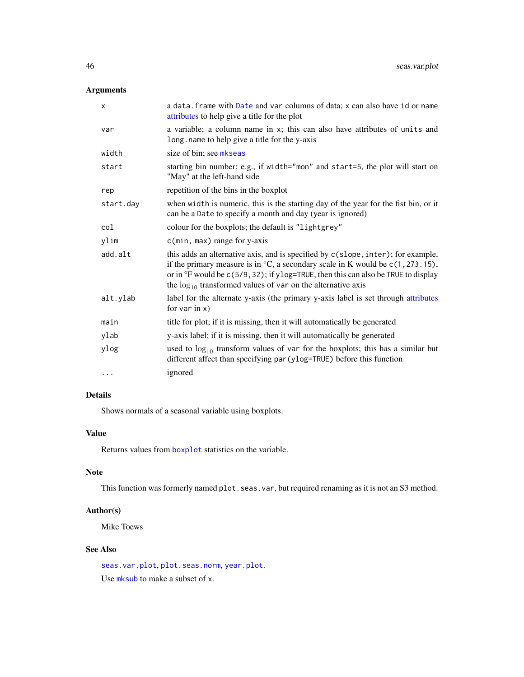# <span id="page-45-0"></span>Arguments

| X         | a data. frame with Date and var columns of data; x can also have id or name<br>attributes to help give a title for the plot                                                                                                                                                                                                                       |
|-----------|---------------------------------------------------------------------------------------------------------------------------------------------------------------------------------------------------------------------------------------------------------------------------------------------------------------------------------------------------|
| var       | a variable; a column name in x; this can also have attributes of units and<br>long name to help give a title for the y-axis                                                                                                                                                                                                                       |
| width     | size of bin; see mkseas                                                                                                                                                                                                                                                                                                                           |
| start     | starting bin number; e.g., if width="mon" and start=5, the plot will start on<br>"May" at the left-hand side                                                                                                                                                                                                                                      |
| rep       | repetition of the bins in the boxplot                                                                                                                                                                                                                                                                                                             |
| start.day | when width is numeric, this is the starting day of the year for the fist bin, or it<br>can be a Date to specify a month and day (year is ignored)                                                                                                                                                                                                 |
| col       | colour for the boxplots; the default is "lightgrey"                                                                                                                                                                                                                                                                                               |
| ylim      | c(min, max) range for y-axis                                                                                                                                                                                                                                                                                                                      |
| add.alt   | this adds an alternative axis, and is specified by c(slope, inter); for example,<br>if the primary measure is in $\mathrm{C}$ , a secondary scale in K would be $c(1, 273.15)$ ,<br>or in $\degree$ F would be c(5/9,32); if ylog=TRUE, then this can also be TRUE to display<br>the $log_{10}$ transformed values of var on the alternative axis |
| alt.ylab  | label for the alternate y-axis (the primary y-axis label is set through attributes<br>for var in $x)$                                                                                                                                                                                                                                             |
| main      | title for plot; if it is missing, then it will automatically be generated                                                                                                                                                                                                                                                                         |
| ylab      | y-axis label; if it is missing, then it will automatically be generated                                                                                                                                                                                                                                                                           |
| ylog      | used to $log_{10}$ transform values of var for the boxplots; this has a similar but<br>different affect than specifying par (ylog=TRUE) before this function                                                                                                                                                                                      |
| $\cdots$  | ignored                                                                                                                                                                                                                                                                                                                                           |
|           |                                                                                                                                                                                                                                                                                                                                                   |

# Details

Shows normals of a seasonal variable using boxplots.

# Value

Returns values from [boxplot](#page-0-0) statistics on the variable.

# Note

This function was formerly named plot.seas.var, but required renaming as it is not an S3 method.

# Author(s)

Mike Toews

# See Also

[seas.var.plot](#page-44-1), [plot.seas.norm](#page-27-1), [year.plot](#page-52-1). Use [mksub](#page-21-1) to make a subset of x.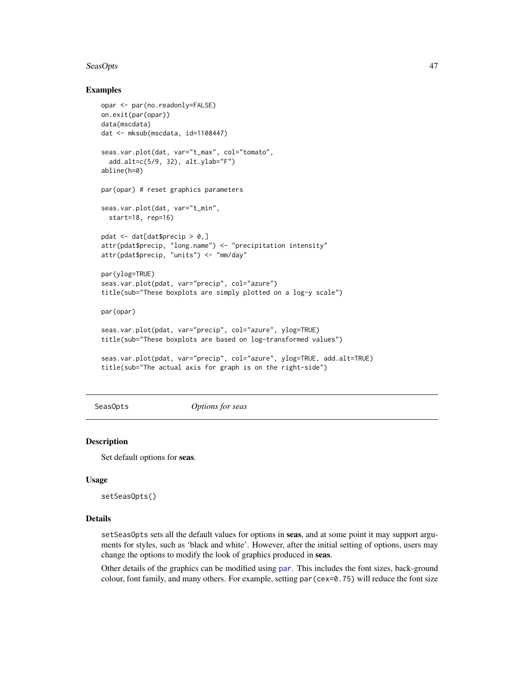#### <span id="page-46-0"></span>SeasOpts 47

# Examples

```
opar <- par(no.readonly=FALSE)
on.exit(par(opar))
data(mscdata)
dat <- mksub(mscdata, id=1108447)
seas.var.plot(dat, var="t_max", col="tomato",
  add.alt=c(5/9, 32), alt.ylab="F")
abline(h=0)
par(opar) # reset graphics parameters
seas.var.plot(dat, var="t_min",
  start=18, rep=16)
pdat <- dat[dat$precip > 0,]
attr(pdat$precip, "long.name") <- "precipitation intensity"
attr(pdat$precip, "units") <- "mm/day"
par(ylog=TRUE)
seas.var.plot(pdat, var="precip", col="azure")
title(sub="These boxplots are simply plotted on a log-y scale")
par(opar)
seas.var.plot(pdat, var="precip", col="azure", ylog=TRUE)
title(sub="These boxplots are based on log-transformed values")
seas.var.plot(pdat, var="precip", col="azure", ylog=TRUE, add.alt=TRUE)
title(sub="The actual axis for graph is on the right-side")
```
<span id="page-46-1"></span>

SeasOpts *Options for seas*

#### Description

Set default options for seas.

#### Usage

setSeasOpts()

#### Details

setSeasOpts sets all the default values for options in seas, and at some point it may support arguments for styles, such as 'black and white'. However, after the initial setting of options, users may change the options to modify the look of graphics produced in seas.

Other details of the graphics can be modified using [par](#page-0-0). This includes the font sizes, back-ground colour, font family, and many others. For example, setting par(cex=0.75) will reduce the font size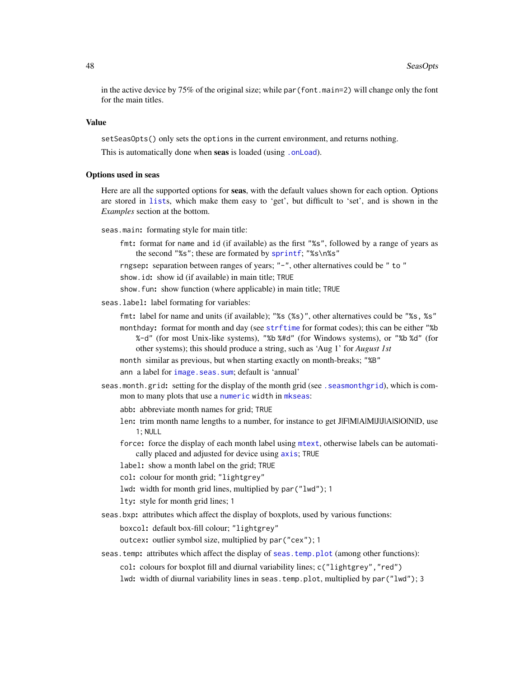<span id="page-47-0"></span>in the active device by 75% of the original size; while par(font.main=2) will change only the font for the main titles.

# Value

setSeasOpts() only sets the options in the current environment, and returns nothing.

This is automatically done when seas is loaded (using [.onLoad](#page-0-0)).

#### Options used in seas

Here are all the supported options for **seas**, with the default values shown for each option. Options are stored in [list](#page-0-0)s, which make them easy to 'get', but difficult to 'set', and is shown in the *Examples* section at the bottom.

seas.main: formating style for main title:

fmt: format for name and id (if available) as the first "%s", followed by a range of years as the second "%s"; these are formated by [sprintf](#page-0-0); "%s\n%s"

rngsep: separation between ranges of years; "-", other alternatives could be " to "

show.id: show id (if available) in main title; TRUE

show.fun: show function (where applicable) in main title; TRUE

seas.label: label formating for variables:

fmt: label for name and units (if available); "%s (%s)", other alternatives could be "%s, %s"

- monthday: format for month and day (see [strftime](#page-0-0) for format codes); this can be either "%b %-d" (for most Unix-like systems), "%b %#d" (for Windows systems), or "%b %d" (for other systems); this should produce a string, such as 'Aug 1' for *August 1st*
- month similar as previous, but when starting exactly on month-breaks; "%B"

ann a label for [image.seas.sum](#page-10-1); default is 'annual'

seas.month.grid: setting for the display of the month grid (see . seasmonthgrid), which is common to many plots that use a [numeric](#page-0-0) width in [mkseas](#page-17-1):

abb: abbreviate month names for grid; TRUE

- len: trim month name lengths to a number, for instance to get J|F|M|A|M|J|J|A|S|O|N|D, use 1; NULL
- force: force the display of each month label using [mtext](#page-0-0), otherwise labels can be automatically placed and adjusted for device using [axis](#page-0-0); TRUE

label: show a month label on the grid; TRUE

- col: colour for month grid; "lightgrey"
- lwd: width for month grid lines, multiplied by par("lwd"); 1

lty: style for month grid lines; 1

seas.bxp: attributes which affect the display of boxplots, used by various functions:

boxcol: default box-fill colour; "lightgrey"

outcex: outlier symbol size, multiplied by par("cex"); 1

seas.temp: attributes which affect the display of [seas.temp.plot](#page-43-1) (among other functions):

col: colours for boxplot fill and diurnal variability lines; c("lightgrey","red")

lwd: width of diurnal variability lines in seas.temp.plot, multiplied by par("lwd"); 3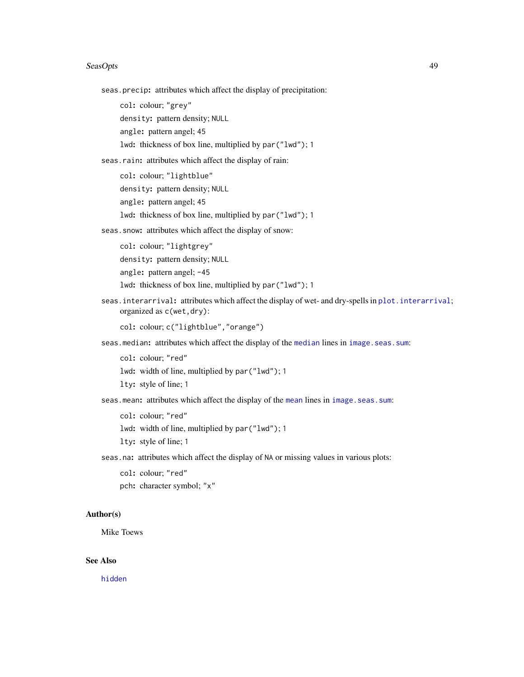#### <span id="page-48-0"></span>SeasOpts 49

seas.precip: attributes which affect the display of precipitation:

col: colour; "grey"

density: pattern density; NULL

angle: pattern angel; 45

lwd: thickness of box line, multiplied by par("lwd"); 1

seas.rain: attributes which affect the display of rain:

col: colour; "lightblue" density: pattern density; NULL angle: pattern angel; 45 lwd: thickness of box line, multiplied by par("lwd"); 1

seas.snow: attributes which affect the display of snow:

col: colour; "lightgrey" density: pattern density; NULL angle: pattern angel; -45

lwd: thickness of box line, multiplied by par("lwd"); 1

seas.interarrival: attributes which affect the display of wet- and dry-spells in [plot.interarrival](#page-26-1); organized as c(wet,dry):

col: colour; c("lightblue","orange")

seas.[median](#page-0-0): attributes which affect the display of the median lines in [image.seas.sum](#page-10-1):

col: colour; "red"

lwd: width of line, multiplied by par("lwd"); 1

lty: style of line; 1

seas.[mean](#page-0-0): attributes which affect the display of the mean lines in [image.seas.sum](#page-10-1):

col: colour; "red"

lwd: width of line, multiplied by par("lwd"); 1

lty: style of line; 1

seas.na: attributes which affect the display of NA or missing values in various plots:

```
col: colour; "red"
```
pch: character symbol; "x"

#### Author(s)

Mike Toews

# See Also

[hidden](#page-9-2)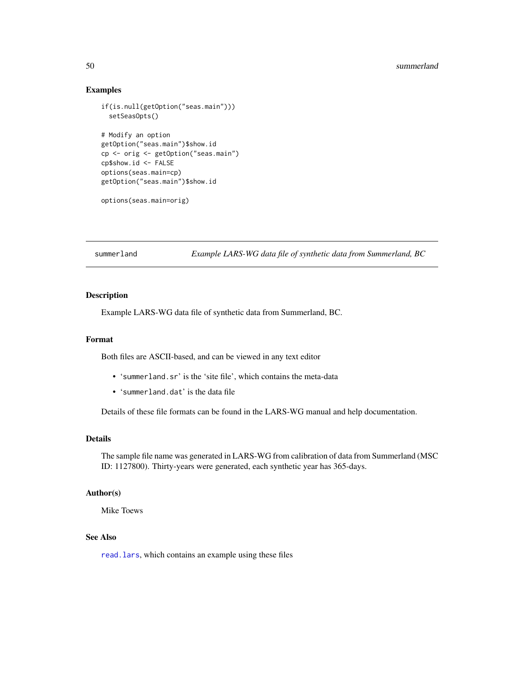#### <span id="page-49-0"></span>50 summerland

# Examples

```
if(is.null(getOption("seas.main")))
 setSeasOpts()
# Modify an option
getOption("seas.main")$show.id
cp <- orig <- getOption("seas.main")
cp$show.id <- FALSE
options(seas.main=cp)
getOption("seas.main")$show.id
```
options(seas.main=orig)

<span id="page-49-1"></span>summerland *Example LARS-WG data file of synthetic data from Summerland, BC*

# Description

Example LARS-WG data file of synthetic data from Summerland, BC.

#### Format

Both files are ASCII-based, and can be viewed in any text editor

- 'summerland.sr' is the 'site file', which contains the meta-data
- 'summerland.dat' is the data file

Details of these file formats can be found in the LARS-WG manual and help documentation.

# Details

The sample file name was generated in LARS-WG from calibration of data from Summerland (MSC ID: 1127800). Thirty-years were generated, each synthetic year has 365-days.

# Author(s)

Mike Toews

# See Also

[read.lars](#page-14-2), which contains an example using these files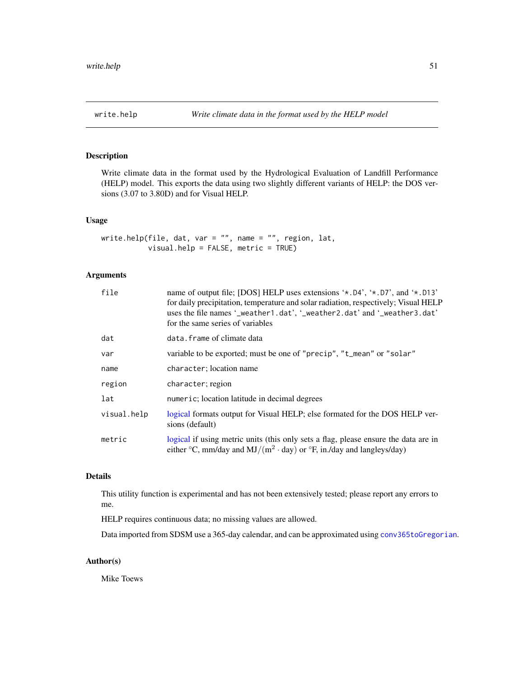<span id="page-50-1"></span><span id="page-50-0"></span>

# Description

Write climate data in the format used by the Hydrological Evaluation of Landfill Performance (HELP) model. This exports the data using two slightly different variants of HELP: the DOS versions (3.07 to 3.80D) and for Visual HELP.

# Usage

```
write.help(file, dat, var = ", name = ", region, lat,
          visual.help = FALSE, metric = TRUE)
```
#### Arguments

| file        | name of output file; [DOS] HELP uses extensions '*, D4', '*, D7', and '*, D13'<br>for daily precipitation, temperature and solar radiation, respectively; Visual HELP<br>uses the file names '_weather1.dat', '_weather2.dat' and '_weather3.dat'<br>for the same series of variables |
|-------------|---------------------------------------------------------------------------------------------------------------------------------------------------------------------------------------------------------------------------------------------------------------------------------------|
| dat         | data. frame of climate data                                                                                                                                                                                                                                                           |
| var         | variable to be exported; must be one of "precip", "t_mean" or "solar"                                                                                                                                                                                                                 |
| name        | character; location name                                                                                                                                                                                                                                                              |
| region      | character; region                                                                                                                                                                                                                                                                     |
| lat         | numeric; location latitude in decimal degrees                                                                                                                                                                                                                                         |
| visual.help | logical formats output for Visual HELP; else formated for the DOS HELP ver-<br>sions (default)                                                                                                                                                                                        |
| metric      | logical if using metric units (this only sets a flag, please ensure the data are in<br>either $\rm{^{\circ}C}$ , mm/day and MJ/(m <sup>2</sup> $\cdot$ day) or $\rm{^{\circ}F}$ , in./day and langleys/day)                                                                           |

#### Details

This utility function is experimental and has not been extensively tested; please report any errors to me.

HELP requires continuous data; no missing values are allowed.

Data imported from SDSM use a 365-day calendar, and can be approximated using [conv365toGregorian](#page-6-1).

#### Author(s)

Mike Toews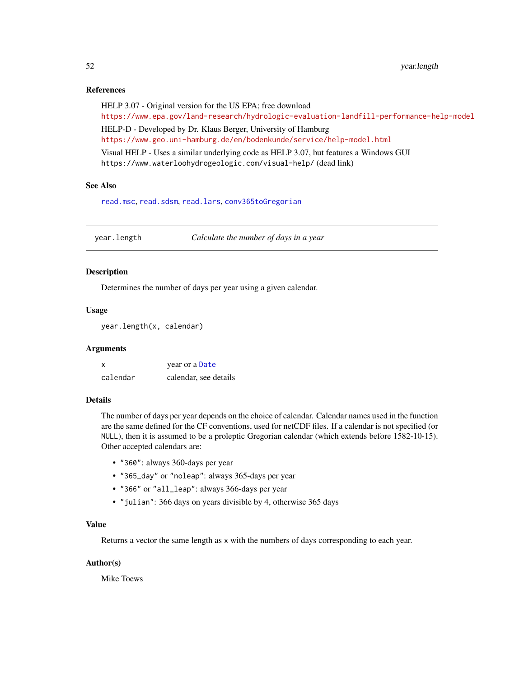# <span id="page-51-0"></span>References

HELP 3.07 - Original version for the US EPA; free download <https://www.epa.gov/land-research/hydrologic-evaluation-landfill-performance-help-model> HELP-D - Developed by Dr. Klaus Berger, University of Hamburg <https://www.geo.uni-hamburg.de/en/bodenkunde/service/help-model.html>

Visual HELP - Uses a similar underlying code as HELP 3.07, but features a Windows GUI https://www.waterloohydrogeologic.com/visual-help/ (dead link)

# See Also

[read.msc](#page-31-1), [read.sdsm](#page-34-1), [read.lars](#page-14-2), [conv365toGregorian](#page-6-1)

<span id="page-51-1"></span>year.length *Calculate the number of days in a year*

#### Description

Determines the number of days per year using a given calendar.

# Usage

```
year.length(x, calendar)
```
#### Arguments

| X        | year or a Date        |
|----------|-----------------------|
| calendar | calendar, see details |

# Details

The number of days per year depends on the choice of calendar. Calendar names used in the function are the same defined for the CF conventions, used for netCDF files. If a calendar is not specified (or NULL), then it is assumed to be a proleptic Gregorian calendar (which extends before 1582-10-15). Other accepted calendars are:

- "360": always 360-days per year
- "365\_day" or "noleap": always 365-days per year
- "366" or "all\_leap": always 366-days per year
- "julian": 366 days on years divisible by 4, otherwise 365 days

# Value

Returns a vector the same length as x with the numbers of days corresponding to each year.

#### Author(s)

Mike Toews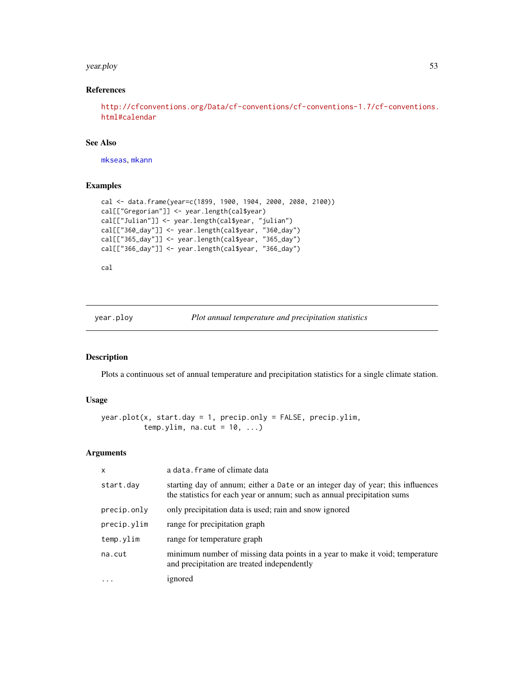#### <span id="page-52-0"></span>year.ploy 53

# References

```
http://cfconventions.org/Data/cf-conventions/cf-conventions-1.7/cf-conventions.
html#calendar
```
#### See Also

[mkseas](#page-17-1), [mkann](#page-16-1)

# Examples

```
cal <- data.frame(year=c(1899, 1900, 1904, 2000, 2080, 2100))
cal[["Gregorian"]] <- year.length(cal$year)
cal[["Julian"]] <- year.length(cal$year, "julian")
cal[["360_day"]] <- year.length(cal$year, "360_day")
cal[["365_day"]] <- year.length(cal$year, "365_day")
cal[["366_day"]] <- year.length(cal$year, "366_day")
```
cal

year.ploy *Plot annual temperature and precipitation statistics*

# <span id="page-52-1"></span>Description

Plots a continuous set of annual temperature and precipitation statistics for a single climate station.

# Usage

```
year.plot(x, start.day = 1, precip.only = FALSE, precip.ylim,
          temp.ylim, na.cut = 10, ...)
```
#### Arguments

| $\mathsf{x}$ | a data. frame of climate data                                                                                                                               |  |
|--------------|-------------------------------------------------------------------------------------------------------------------------------------------------------------|--|
| start.day    | starting day of annum; either a Date or an integer day of year; this influences<br>the statistics for each year or annum; such as annual precipitation sums |  |
| precip.only  | only precipitation data is used; rain and snow ignored                                                                                                      |  |
| precip.ylim  | range for precipitation graph                                                                                                                               |  |
| temp.ylim    | range for temperature graph                                                                                                                                 |  |
| na.cut       | minimum number of missing data points in a year to make it void; temperature<br>and precipitation are treated independently                                 |  |
|              | ignored                                                                                                                                                     |  |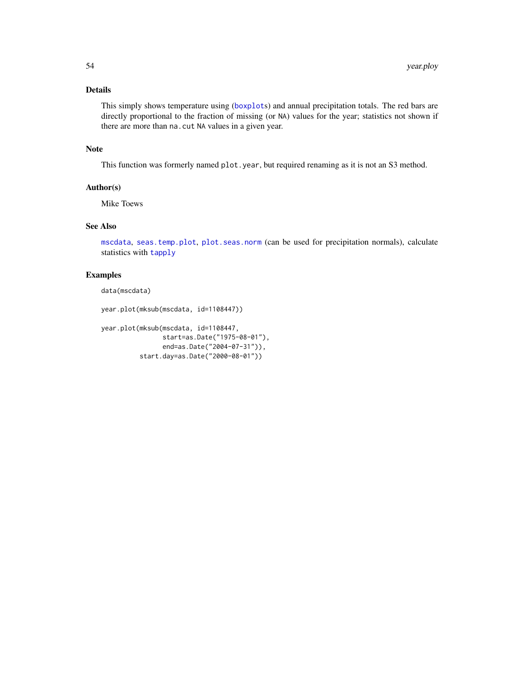# <span id="page-53-0"></span>Details

This simply shows temperature using ([boxplot](#page-0-0)s) and annual precipitation totals. The red bars are directly proportional to the fraction of missing (or NA) values for the year; statistics not shown if there are more than na.cut NA values in a given year.

#### Note

This function was formerly named plot.year, but required renaming as it is not an S3 method.

# Author(s)

Mike Toews

# See Also

[mscdata](#page-22-1), [seas.temp.plot](#page-43-1), [plot.seas.norm](#page-27-1) (can be used for precipitation normals), calculate statistics with [tapply](#page-0-0)

#### Examples

data(mscdata)

year.plot(mksub(mscdata, id=1108447))

```
year.plot(mksub(mscdata, id=1108447,
                start=as.Date("1975-08-01"),
                end=as.Date("2004-07-31")),
          start.day=as.Date("2000-08-01"))
```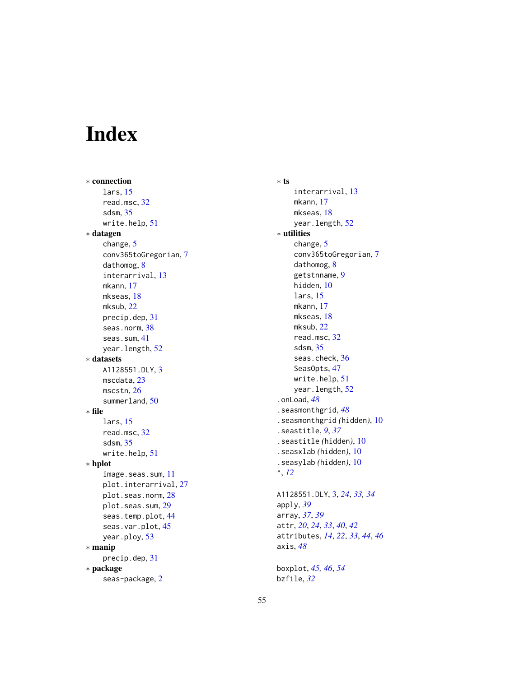# <span id="page-54-0"></span>Index

∗ connection lars, [15](#page-14-0) read.msc, [32](#page-31-0) sdsm, [35](#page-34-0) write.help, [51](#page-50-0) ∗ datagen change, [5](#page-4-0) conv365toGregorian, [7](#page-6-0) dathomog, [8](#page-7-0) interarrival, [13](#page-12-0) mkann, [17](#page-16-0) mkseas, [18](#page-17-0) mksub, [22](#page-21-0) precip.dep, [31](#page-30-0) seas.norm, [38](#page-37-0) seas.sum, [41](#page-40-0) year.length, [52](#page-51-0) ∗ datasets A1128551.DLY, [3](#page-2-0) mscdata, [23](#page-22-0) mscstn, [26](#page-25-0) summerland, [50](#page-49-0) ∗ file lars, [15](#page-14-0) read.msc, [32](#page-31-0) sdsm, [35](#page-34-0) write.help, [51](#page-50-0) ∗ hplot image.seas.sum, [11](#page-10-0) plot.interarrival, [27](#page-26-0) plot.seas.norm, [28](#page-27-0) plot.seas.sum, [29](#page-28-0) seas.temp.plot, [44](#page-43-0) seas.var.plot, [45](#page-44-0) year.ploy, [53](#page-52-0) ∗ manip precip.dep, [31](#page-30-0) ∗ package seas-package, [2](#page-1-0)

∗ ts interarrival, [13](#page-12-0) mkann, [17](#page-16-0) mkseas, [18](#page-17-0) year.length, [52](#page-51-0) ∗ utilities change, [5](#page-4-0) conv365toGregorian, [7](#page-6-0) dathomog, [8](#page-7-0) getstnname, [9](#page-8-0) hidden, [10](#page-9-0) lars, [15](#page-14-0) mkann, [17](#page-16-0) mkseas, [18](#page-17-0) mksub, [22](#page-21-0) read.msc, [32](#page-31-0) sdsm, [35](#page-34-0) seas.check, [36](#page-35-0) SeasOpts, [47](#page-46-0) write.help, [51](#page-50-0) year.length, [52](#page-51-0) .onLoad, *[48](#page-47-0)* .seasmonthgrid, *[48](#page-47-0)* .seasmonthgrid *(*hidden*)*, [10](#page-9-0) .seastitle, *[9](#page-8-0)*, *[37](#page-36-0)* .seastitle *(*hidden*)*, [10](#page-9-0) .seasxlab *(*hidden*)*, [10](#page-9-0) .seasylab *(*hidden*)*, [10](#page-9-0) ^, *[12](#page-11-0)* A1128551.DLY, [3,](#page-2-0) *[24](#page-23-0)*, *[33,](#page-32-0) [34](#page-33-0)* apply, *[39](#page-38-0)* array, *[37](#page-36-0)*, *[39](#page-38-0)* attr, *[20](#page-19-0)*, *[24](#page-23-0)*, *[33](#page-32-0)*, *[40](#page-39-0)*, *[42](#page-41-0)*

boxplot, *[45,](#page-44-0) [46](#page-45-0)*, *[54](#page-53-0)* bzfile, *[32](#page-31-0)*

axis, *[48](#page-47-0)*

attributes, *[14](#page-13-0)*, *[22](#page-21-0)*, *[33](#page-32-0)*, *[44](#page-43-0)*, *[46](#page-45-0)*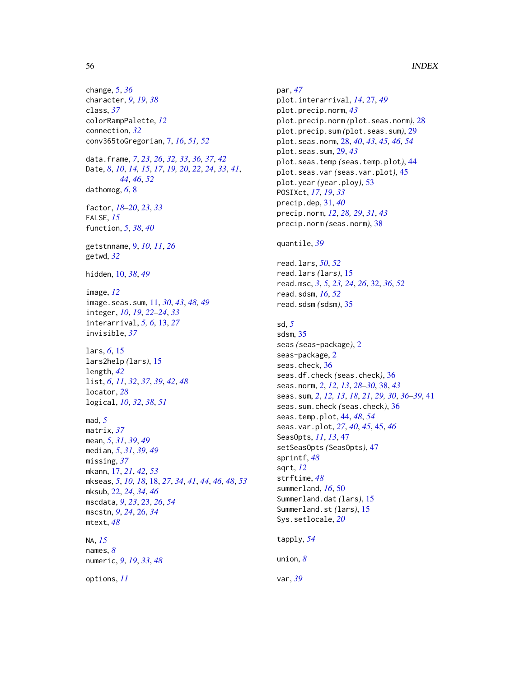change, [5,](#page-4-0) *[36](#page-35-0)* character, *[9](#page-8-0)*, *[19](#page-18-0)*, *[38](#page-37-0)* class, *[37](#page-36-0)* colorRampPalette, *[12](#page-11-0)* connection, *[32](#page-31-0)* conv365toGregorian, [7,](#page-6-0) *[16](#page-15-0)*, *[51,](#page-50-0) [52](#page-51-0)* data.frame, *[7](#page-6-0)*, *[23](#page-22-0)*, *[26](#page-25-0)*, *[32,](#page-31-0) [33](#page-32-0)*, *[36,](#page-35-0) [37](#page-36-0)*, *[42](#page-41-0)* Date, *[8](#page-7-0)*, *[10](#page-9-0)*, *[14,](#page-13-0) [15](#page-14-0)*, *[17](#page-16-0)*, *[19,](#page-18-0) [20](#page-19-0)*, *[22](#page-21-0)*, *[24](#page-23-0)*, *[33](#page-32-0)*, *[41](#page-40-0)*, *[44](#page-43-0)*, *[46](#page-45-0)*, *[52](#page-51-0)* dathomog, *[6](#page-5-0)*, [8](#page-7-0) factor, *[18](#page-17-0)[–20](#page-19-0)*, *[23](#page-22-0)*, *[33](#page-32-0)* FALSE, *[15](#page-14-0)* function, *[5](#page-4-0)*, *[38](#page-37-0)*, *[40](#page-39-0)* getstnname, [9,](#page-8-0) *[10,](#page-9-0) [11](#page-10-0)*, *[26](#page-25-0)* getwd, *[32](#page-31-0)* hidden, [10,](#page-9-0) *[38](#page-37-0)*, *[49](#page-48-0)* image, *[12](#page-11-0)* image.seas.sum, [11,](#page-10-0) *[30](#page-29-0)*, *[43](#page-42-0)*, *[48,](#page-47-0) [49](#page-48-0)* integer, *[10](#page-9-0)*, *[19](#page-18-0)*, *[22](#page-21-0)[–24](#page-23-0)*, *[33](#page-32-0)* interarrival, *[5,](#page-4-0) [6](#page-5-0)*, [13,](#page-12-0) *[27](#page-26-0)* invisible, *[37](#page-36-0)* lars, *[6](#page-5-0)*, [15](#page-14-0) lars2help *(*lars*)*, [15](#page-14-0) length, *[42](#page-41-0)* list, *[6](#page-5-0)*, *[11](#page-10-0)*, *[32](#page-31-0)*, *[37](#page-36-0)*, *[39](#page-38-0)*, *[42](#page-41-0)*, *[48](#page-47-0)* locator, *[28](#page-27-0)* logical, *[10](#page-9-0)*, *[32](#page-31-0)*, *[38](#page-37-0)*, *[51](#page-50-0)* mad, *[5](#page-4-0)* matrix, *[37](#page-36-0)* mean, *[5](#page-4-0)*, *[31](#page-30-0)*, *[39](#page-38-0)*, *[49](#page-48-0)* median, *[5](#page-4-0)*, *[31](#page-30-0)*, *[39](#page-38-0)*, *[49](#page-48-0)* missing, *[37](#page-36-0)* mkann, [17,](#page-16-0) *[21](#page-20-0)*, *[42](#page-41-0)*, *[53](#page-52-0)* mkseas, *[5](#page-4-0)*, *[10](#page-9-0)*, *[18](#page-17-0)*, [18,](#page-17-0) *[27](#page-26-0)*, *[34](#page-33-0)*, *[41](#page-40-0)*, *[44](#page-43-0)*, *[46](#page-45-0)*, *[48](#page-47-0)*, *[53](#page-52-0)* mksub, [22,](#page-21-0) *[24](#page-23-0)*, *[34](#page-33-0)*, *[46](#page-45-0)* mscdata, *[9](#page-8-0)*, *[23](#page-22-0)*, [23,](#page-22-0) *[26](#page-25-0)*, *[54](#page-53-0)* mscstn, *[9](#page-8-0)*, *[24](#page-23-0)*, [26,](#page-25-0) *[34](#page-33-0)* mtext, *[48](#page-47-0)* NA, *[15](#page-14-0)* names, *[8](#page-7-0)* numeric, *[9](#page-8-0)*, *[19](#page-18-0)*, *[33](#page-32-0)*, *[48](#page-47-0)* options, *[11](#page-10-0)*

par, *[47](#page-46-0)* plot.interarrival, *[14](#page-13-0)*, [27,](#page-26-0) *[49](#page-48-0)* plot.precip.norm, *[43](#page-42-0)* plot.precip.norm *(*plot.seas.norm*)*, [28](#page-27-0) plot.precip.sum *(*plot.seas.sum*)*, [29](#page-28-0) plot.seas.norm, [28,](#page-27-0) *[40](#page-39-0)*, *[43](#page-42-0)*, *[45,](#page-44-0) [46](#page-45-0)*, *[54](#page-53-0)* plot.seas.sum, [29,](#page-28-0) *[43](#page-42-0)* plot.seas.temp *(*seas.temp.plot*)*, [44](#page-43-0) plot.seas.var *(*seas.var.plot*)*, [45](#page-44-0) plot.year *(*year.ploy*)*, [53](#page-52-0) POSIXct, *[17](#page-16-0)*, *[19](#page-18-0)*, *[33](#page-32-0)* precip.dep, [31,](#page-30-0) *[40](#page-39-0)* precip.norm, *[12](#page-11-0)*, *[28,](#page-27-0) [29](#page-28-0)*, *[31](#page-30-0)*, *[43](#page-42-0)* precip.norm *(*seas.norm*)*, [38](#page-37-0)

quantile, *[39](#page-38-0)*

read.lars, *[50](#page-49-0)*, *[52](#page-51-0)* read.lars *(*lars*)*, [15](#page-14-0) read.msc, *[3](#page-2-0)*, *[5](#page-4-0)*, *[23,](#page-22-0) [24](#page-23-0)*, *[26](#page-25-0)*, [32,](#page-31-0) *[36](#page-35-0)*, *[52](#page-51-0)* read.sdsm, *[16](#page-15-0)*, *[52](#page-51-0)* read.sdsm *(*sdsm*)*, [35](#page-34-0)

```
sd, 5
sdsm, 35
seas (seas-package), 2
seas-package, 2
seas.check, 36
seas.df.check (seas.check), 36
seas.norm, 2, 12, 13, 28–30, 38, 43
seas.sum, 2, 12, 13, 18, 21, 29, 30, 36–39, 41
seas.sum.check (seas.check), 36
seas.temp.plot, 44, 48, 54
seas.var.plot, 27, 40, 45, 45, 46
SeasOpts, 11, 13, 47
setSeasOpts (SeasOpts), 47
sprintf, 48
sqrt, 12
strftime, 48
summerland, 16, 50
Summerland.dat (lars), 15
Summerland.st (lars), 15
Sys.setlocale, 20
tapply, 54
```
union, *[8](#page-7-0)*

var, *[39](#page-38-0)*